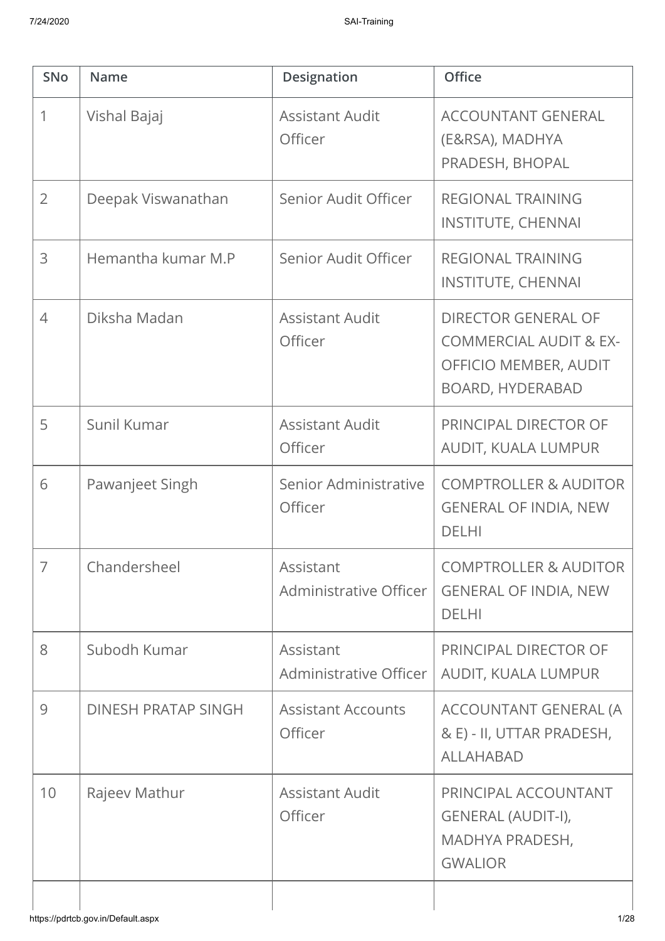| <b>SNo</b>     | <b>Name</b>                | <b>Designation</b>                       | <b>Office</b>                                                                                                       |
|----------------|----------------------------|------------------------------------------|---------------------------------------------------------------------------------------------------------------------|
| 1              | Vishal Bajaj               | <b>Assistant Audit</b><br><b>Officer</b> | <b>ACCOUNTANT GENERAL</b><br>(E&RSA), MADHYA<br>PRADESH, BHOPAL                                                     |
| $\overline{2}$ | Deepak Viswanathan         | Senior Audit Officer                     | <b>REGIONAL TRAINING</b><br><b>INSTITUTE, CHENNAI</b>                                                               |
| 3              | Hemantha kumar M.P         | Senior Audit Officer                     | <b>REGIONAL TRAINING</b><br><b>INSTITUTE, CHENNAI</b>                                                               |
| $\overline{4}$ | Diksha Madan               | <b>Assistant Audit</b><br>Officer        | <b>DIRECTOR GENERAL OF</b><br><b>COMMERCIAL AUDIT &amp; EX-</b><br>OFFICIO MEMBER, AUDIT<br><b>BOARD, HYDERABAD</b> |
| 5              | Sunil Kumar                | <b>Assistant Audit</b><br>Officer        | PRINCIPAL DIRECTOR OF<br>AUDIT, KUALA LUMPUR                                                                        |
| 6              | Pawanjeet Singh            | Senior Administrative<br>Officer         | <b>COMPTROLLER &amp; AUDITOR</b><br><b>GENERAL OF INDIA, NEW</b><br><b>DELHI</b>                                    |
|                | Chandersheel               | Assistant<br>Administrative Officer      | <b>COMPTROLLER &amp; AUDITOR</b><br><b>GENERAL OF INDIA, NEW</b><br><b>DELHI</b>                                    |
| 8              | Subodh Kumar               | Assistant<br>Administrative Officer      | PRINCIPAL DIRECTOR OF<br>AUDIT, KUALA LUMPUR                                                                        |
| 9              | <b>DINESH PRATAP SINGH</b> | <b>Assistant Accounts</b><br>Officer     | ACCOUNTANT GENERAL (A<br>& E) - II, UTTAR PRADESH,<br><b>ALLAHABAD</b>                                              |
| 10             | Rajeev Mathur              | <b>Assistant Audit</b><br>Officer        | PRINCIPAL ACCOUNTANT<br>GENERAL (AUDIT-I),<br>MADHYA PRADESH,<br><b>GWALIOR</b>                                     |
|                |                            |                                          |                                                                                                                     |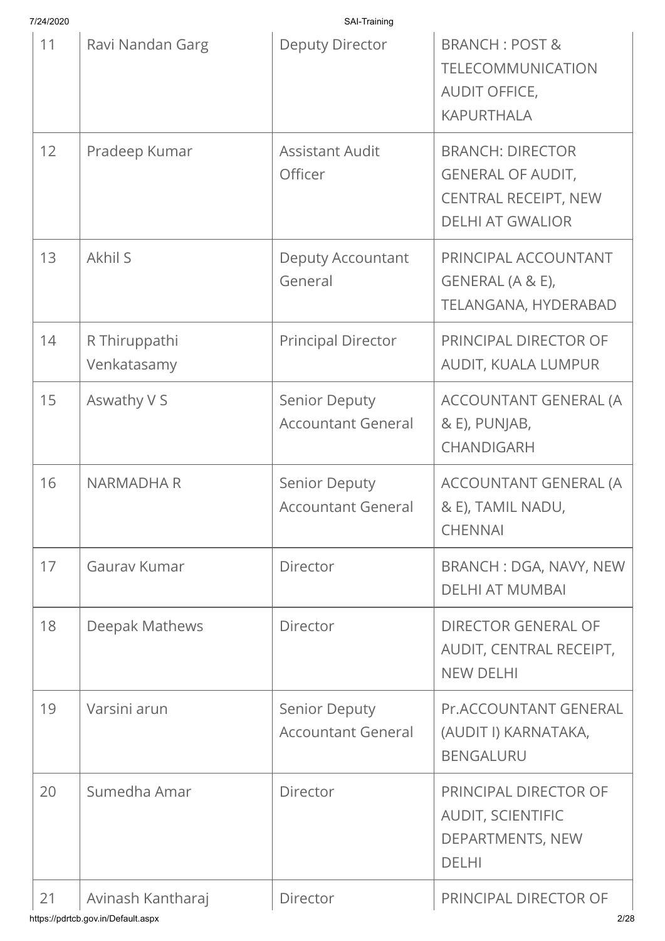| 7/24/2020 |                              | SAI-Training                                      |                                                                                                               |
|-----------|------------------------------|---------------------------------------------------|---------------------------------------------------------------------------------------------------------------|
| 11        | Ravi Nandan Garg             | <b>Deputy Director</b>                            | <b>BRANCH: POST &amp;</b><br><b>TELECOMMUNICATION</b><br>AUDIT OFFICE,<br><b>KAPURTHALA</b>                   |
| 12        | Pradeep Kumar                | <b>Assistant Audit</b><br>Officer                 | <b>BRANCH: DIRECTOR</b><br><b>GENERAL OF AUDIT,</b><br><b>CENTRAL RECEIPT, NEW</b><br><b>DELHI AT GWALIOR</b> |
| 13        | Akhil S                      | <b>Deputy Accountant</b><br>General               | PRINCIPAL ACCOUNTANT<br>GENERAL (A & E),<br>TELANGANA, HYDERABAD                                              |
| 14        | R Thiruppathi<br>Venkatasamy | <b>Principal Director</b>                         | PRINCIPAL DIRECTOR OF<br>AUDIT, KUALA LUMPUR                                                                  |
| 15        | Aswathy V S                  | <b>Senior Deputy</b><br><b>Accountant General</b> | ACCOUNTANT GENERAL (A<br>& E), PUNJAB,<br>CHANDIGARH                                                          |
| 16        | <b>NARMADHA R</b>            | <b>Senior Deputy</b><br><b>Accountant General</b> | ACCOUNTANT GENERAL (A<br>& E), TAMIL NADU,<br><b>CHENNAI</b>                                                  |
| 17        | Gauray Kumar                 | Director                                          | <b>BRANCH: DGA, NAVY, NEW</b><br><b>DELHI AT MUMBAI</b>                                                       |
| 18        | Deepak Mathews               | Director                                          | <b>DIRECTOR GENERAL OF</b><br>AUDIT, CENTRAL RECEIPT,<br><b>NEW DELHI</b>                                     |
| 19        | Varsini arun                 | <b>Senior Deputy</b><br><b>Accountant General</b> | <b>Pr.ACCOUNTANT GENERAL</b><br>(AUDIT I) KARNATAKA,<br><b>BENGALURU</b>                                      |
| 20        | Sumedha Amar                 | Director                                          | PRINCIPAL DIRECTOR OF<br><b>AUDIT, SCIENTIFIC</b><br>DEPARTMENTS, NEW<br><b>DELHI</b>                         |
| 21        | Avinash Kantharaj            | Director                                          | PRINCIPAL DIRECTOR OF                                                                                         |

https://pdrtcb.gov.in/Default.aspx 2/28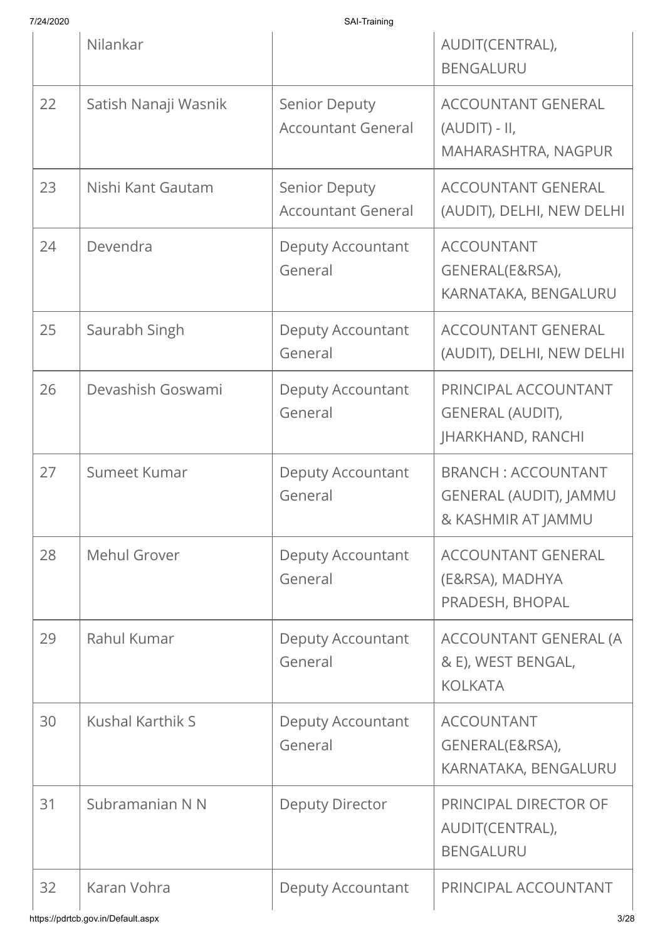| 7/24/2020 |  |
|-----------|--|
|           |  |

|    | Nilankar                |                                                   | AUDIT(CENTRAL),<br><b>BENGALURU</b>                                              |
|----|-------------------------|---------------------------------------------------|----------------------------------------------------------------------------------|
| 22 | Satish Nanaji Wasnik    | <b>Senior Deputy</b><br><b>Accountant General</b> | <b>ACCOUNTANT GENERAL</b><br>$(AUDIT) - II,$<br>MAHARASHTRA, NAGPUR              |
| 23 | Nishi Kant Gautam       | <b>Senior Deputy</b><br><b>Accountant General</b> | <b>ACCOUNTANT GENERAL</b><br>(AUDIT), DELHI, NEW DELHI                           |
| 24 | Devendra                | <b>Deputy Accountant</b><br>General               | <b>ACCOUNTANT</b><br>GENERAL(E&RSA),<br>KARNATAKA, BENGALURU                     |
| 25 | Saurabh Singh           | Deputy Accountant<br>General                      | <b>ACCOUNTANT GENERAL</b><br>(AUDIT), DELHI, NEW DELHI                           |
| 26 | Devashish Goswami       | <b>Deputy Accountant</b><br>General               | PRINCIPAL ACCOUNTANT<br><b>GENERAL (AUDIT),</b><br><b>JHARKHAND, RANCHI</b>      |
| 27 | Sumeet Kumar            | <b>Deputy Accountant</b><br>General               | <b>BRANCH: ACCOUNTANT</b><br><b>GENERAL (AUDIT), JAMMU</b><br>& KASHMIR AT JAMMU |
| 28 | Mehul Grover            | <b>Deputy Accountant</b><br>General               | <b>ACCOUNTANT GENERAL</b><br>(E&RSA), MADHYA<br>PRADESH, BHOPAL                  |
| 29 | Rahul Kumar             | <b>Deputy Accountant</b><br>General               | ACCOUNTANT GENERAL (A<br>& E), WEST BENGAL,<br><b>KOLKATA</b>                    |
| 30 | <b>Kushal Karthik S</b> | <b>Deputy Accountant</b><br>General               | <b>ACCOUNTANT</b><br>GENERAL(E&RSA),<br>KARNATAKA, BENGALURU                     |
| 31 | Subramanian N N         | <b>Deputy Director</b>                            | PRINCIPAL DIRECTOR OF<br>AUDIT(CENTRAL),<br><b>BENGALURU</b>                     |
| 32 | Karan Vohra             | <b>Deputy Accountant</b>                          | PRINCIPAL ACCOUNTANT                                                             |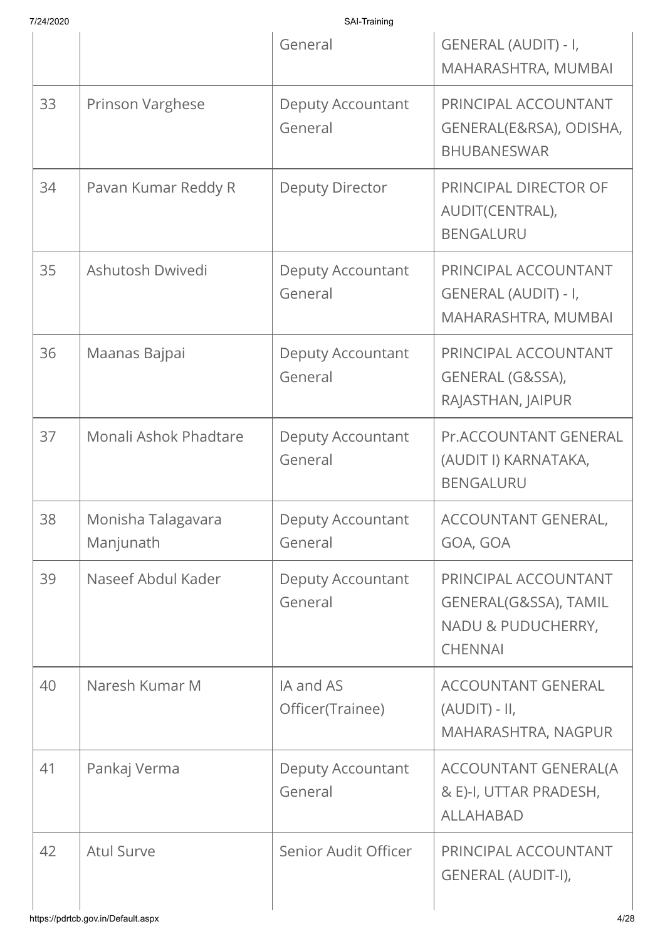| 7/24/2020 |                                 | SAI-Training                        |                                                                                       |
|-----------|---------------------------------|-------------------------------------|---------------------------------------------------------------------------------------|
|           |                                 | General                             | GENERAL (AUDIT) - I,<br>MAHARASHTRA, MUMBAI                                           |
| 33        | Prinson Varghese                | Deputy Accountant<br>General        | PRINCIPAL ACCOUNTANT<br>GENERAL(E&RSA), ODISHA,<br><b>BHUBANESWAR</b>                 |
| 34        | Pavan Kumar Reddy R             | <b>Deputy Director</b>              | PRINCIPAL DIRECTOR OF<br>AUDIT(CENTRAL),<br><b>BENGALURU</b>                          |
| 35        | Ashutosh Dwivedi                | Deputy Accountant<br>General        | PRINCIPAL ACCOUNTANT<br>GENERAL (AUDIT) - I,<br>MAHARASHTRA, MUMBAI                   |
| 36        | Maanas Bajpai                   | Deputy Accountant<br>General        | PRINCIPAL ACCOUNTANT<br>GENERAL (G&SSA),<br>RAJASTHAN, JAIPUR                         |
| 37        | Monali Ashok Phadtare           | Deputy Accountant<br>General        | Pr.ACCOUNTANT GENERAL<br>(AUDIT I) KARNATAKA,<br><b>BENGALURU</b>                     |
| 38        | Monisha Talagavara<br>Manjunath | <b>Deputy Accountant</b><br>General | ACCOUNTANT GENERAL,<br>GOA, GOA                                                       |
| 39        | Naseef Abdul Kader              | Deputy Accountant<br>General        | PRINCIPAL ACCOUNTANT<br>GENERAL(G&SSA), TAMIL<br>NADU & PUDUCHERRY,<br><b>CHENNAI</b> |
| 40        | Naresh Kumar M                  | IA and AS<br>Officer(Trainee)       | <b>ACCOUNTANT GENERAL</b><br>$(AUDIT) - II,$<br>MAHARASHTRA, NAGPUR                   |
| 41        | Pankaj Verma                    | Deputy Accountant<br>General        | ACCOUNTANT GENERAL(A<br>& E)-I, UTTAR PRADESH,<br><b>ALLAHABAD</b>                    |
| 42        | <b>Atul Surve</b>               | Senior Audit Officer                | PRINCIPAL ACCOUNTANT<br>GENERAL (AUDIT-I),                                            |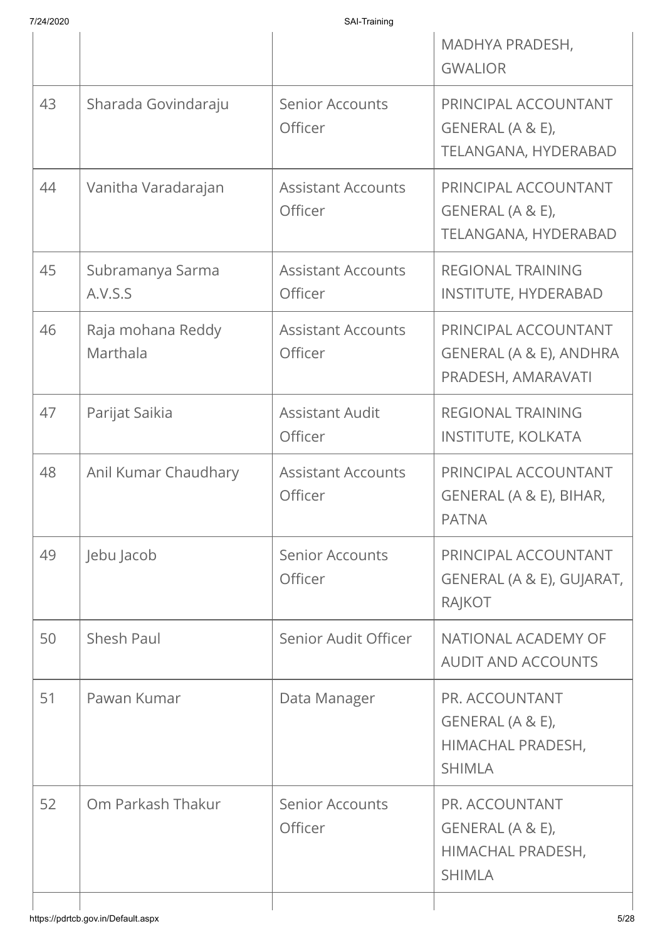| 7/24/2020 |
|-----------|

|    |                                    |                                             | MADHYA PRADESH,<br><b>GWALIOR</b>                                        |
|----|------------------------------------|---------------------------------------------|--------------------------------------------------------------------------|
| 43 | Sharada Govindaraju                | <b>Senior Accounts</b><br>Officer           | PRINCIPAL ACCOUNTANT<br>GENERAL (A & E),<br>TELANGANA, HYDERABAD         |
| 44 | Vanitha Varadarajan                | <b>Assistant Accounts</b><br>Officer        | PRINCIPAL ACCOUNTANT<br>GENERAL (A & E),<br>TELANGANA, HYDERABAD         |
| 45 | Subramanya Sarma<br>A.V.S.S        | <b>Assistant Accounts</b><br><b>Officer</b> | <b>REGIONAL TRAINING</b><br><b>INSTITUTE, HYDERABAD</b>                  |
| 46 | Raja mohana Reddy<br>Marthala      | <b>Assistant Accounts</b><br>Officer        | PRINCIPAL ACCOUNTANT<br>GENERAL (A & E), ANDHRA<br>PRADESH, AMARAVATI    |
| 47 | Parijat Saikia                     | <b>Assistant Audit</b><br>Officer           | <b>REGIONAL TRAINING</b><br><b>INSTITUTE, KOLKATA</b>                    |
| 48 | Anil Kumar Chaudhary               | <b>Assistant Accounts</b><br>Officer        | PRINCIPAL ACCOUNTANT<br>GENERAL (A & E), BIHAR,<br><b>PATNA</b>          |
| 49 | Jebu Jacob                         | <b>Senior Accounts</b><br>Officer           | PRINCIPAL ACCOUNTANT<br>GENERAL (A & E), GUJARAT,<br>RAJKOT              |
| 50 | Shesh Paul                         | Senior Audit Officer                        | NATIONAL ACADEMY OF<br><b>AUDIT AND ACCOUNTS</b>                         |
| 51 | Pawan Kumar                        | Data Manager                                | PR. ACCOUNTANT<br>GENERAL (A & E),<br>HIMACHAL PRADESH,<br><b>SHIMLA</b> |
| 52 | Om Parkash Thakur                  | <b>Senior Accounts</b><br>Officer           | PR. ACCOUNTANT<br>GENERAL (A & E),<br>HIMACHAL PRADESH,<br><b>SHIMLA</b> |
|    | https://pdrtcb.gov.in/Default.aspx |                                             | 5/28                                                                     |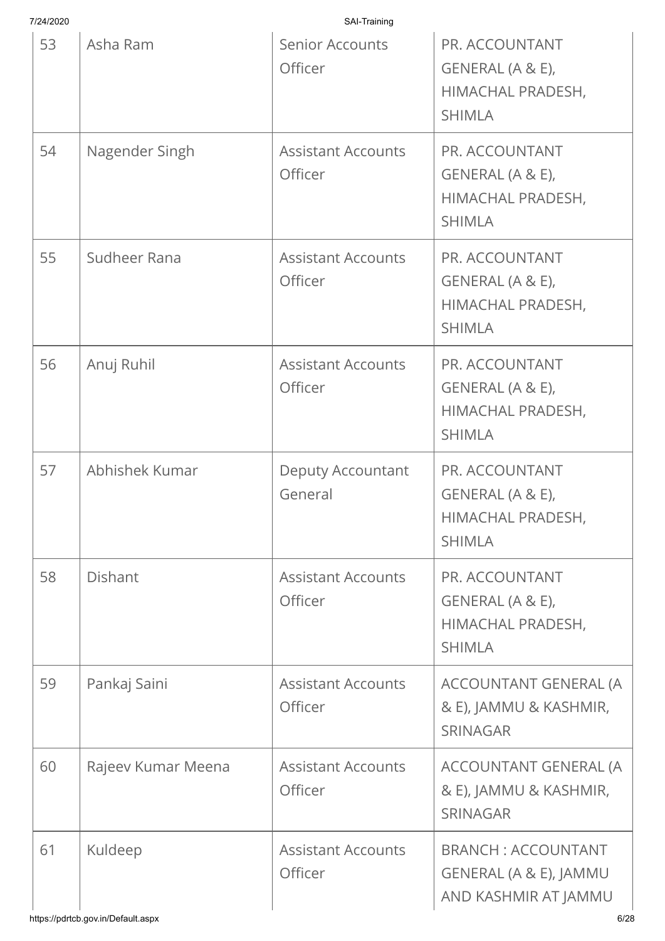| 7/24/2020 |                                               | SAI-Training                         |                                                                                     |
|-----------|-----------------------------------------------|--------------------------------------|-------------------------------------------------------------------------------------|
| 53        | Asha Ram                                      | <b>Senior Accounts</b><br>Officer    | PR. ACCOUNTANT<br>GENERAL (A & E),<br>HIMACHAL PRADESH,<br><b>SHIMLA</b>            |
| 54        | Nagender Singh                                | <b>Assistant Accounts</b><br>Officer | PR. ACCOUNTANT<br>GENERAL (A & E),<br>HIMACHAL PRADESH,<br><b>SHIMLA</b>            |
| 55        | Sudheer Rana                                  | <b>Assistant Accounts</b><br>Officer | PR. ACCOUNTANT<br>GENERAL (A & E),<br>HIMACHAL PRADESH,<br><b>SHIMLA</b>            |
| 56        | Anuj Ruhil                                    | <b>Assistant Accounts</b><br>Officer | PR. ACCOUNTANT<br>GENERAL (A & E),<br>HIMACHAL PRADESH,<br><b>SHIMLA</b>            |
| 57        | Abhishek Kumar                                | <b>Deputy Accountant</b><br>General  | PR. ACCOUNTANT<br>GENERAL (A & E),<br>HIMACHAL PRADESH,<br><b>SHIMLA</b>            |
| 58        | <b>Dishant</b>                                | <b>Assistant Accounts</b><br>Officer | PR. ACCOUNTANT<br>GENERAL (A & E),<br>HIMACHAL PRADESH,<br><b>SHIMLA</b>            |
| 59        | Pankaj Saini                                  | <b>Assistant Accounts</b><br>Officer | ACCOUNTANT GENERAL (A<br>& E), JAMMU & KASHMIR,<br><b>SRINAGAR</b>                  |
| 60        | Rajeev Kumar Meena                            | <b>Assistant Accounts</b><br>Officer | ACCOUNTANT GENERAL (A<br>& E), JAMMU & KASHMIR,<br><b>SRINAGAR</b>                  |
| 61        | Kuldeep<br>https://pdrtcb.gov.in/Default.aspx | <b>Assistant Accounts</b><br>Officer | <b>BRANCH: ACCOUNTANT</b><br>GENERAL (A & E), JAMMU<br>AND KASHMIR AT JAMMU<br>6/28 |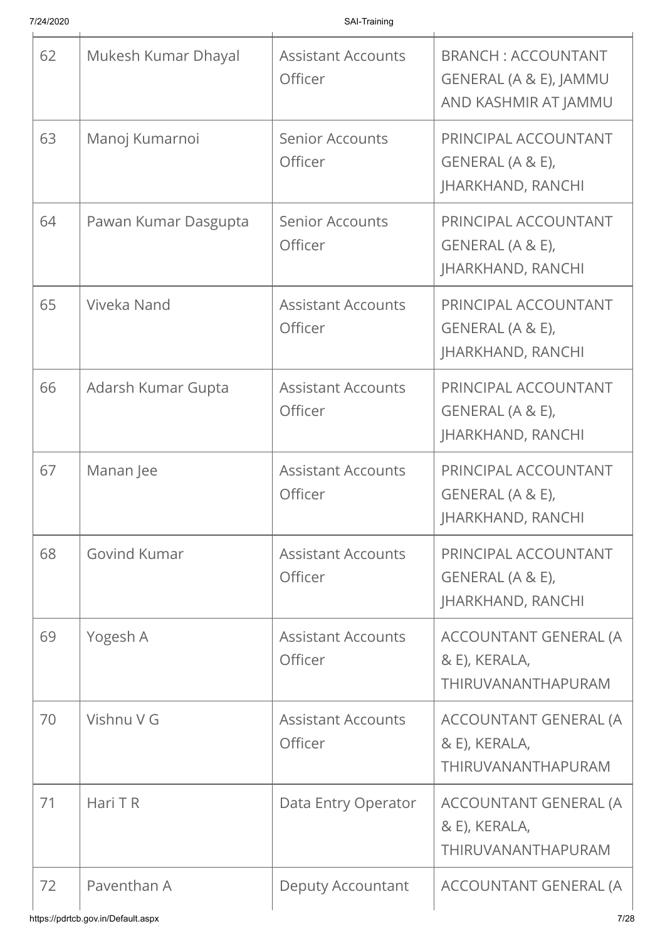| 62 | Mukesh Kumar Dhayal  | <b>Assistant Accounts</b><br>Officer | <b>BRANCH: ACCOUNTANT</b><br>GENERAL (A & E), JAMMU<br>AND KASHMIR AT JAMMU |
|----|----------------------|--------------------------------------|-----------------------------------------------------------------------------|
| 63 | Manoj Kumarnoi       | <b>Senior Accounts</b><br>Officer    | PRINCIPAL ACCOUNTANT<br>GENERAL (A & E),<br><b>JHARKHAND, RANCHI</b>        |
| 64 | Pawan Kumar Dasgupta | <b>Senior Accounts</b><br>Officer    | PRINCIPAL ACCOUNTANT<br>GENERAL (A & E),<br><b>JHARKHAND, RANCHI</b>        |
| 65 | Viveka Nand          | <b>Assistant Accounts</b><br>Officer | PRINCIPAL ACCOUNTANT<br>GENERAL (A & E),<br><b>JHARKHAND, RANCHI</b>        |
| 66 | Adarsh Kumar Gupta   | <b>Assistant Accounts</b><br>Officer | PRINCIPAL ACCOUNTANT<br>GENERAL (A & E),<br><b>JHARKHAND, RANCHI</b>        |
| 67 | Manan Jee            | <b>Assistant Accounts</b><br>Officer | PRINCIPAL ACCOUNTANT<br>GENERAL (A & E),<br><b>JHARKHAND, RANCHI</b>        |
| 68 | <b>Govind Kumar</b>  | <b>Assistant Accounts</b><br>Officer | PRINCIPAL ACCOUNTANT<br>GENERAL (A & E),<br><b>JHARKHAND, RANCHI</b>        |
| 69 | Yogesh A             | <b>Assistant Accounts</b><br>Officer | ACCOUNTANT GENERAL (A<br>& E), KERALA,<br>THIRUVANANTHAPURAM                |
| 70 | Vishnu V G           | <b>Assistant Accounts</b><br>Officer | ACCOUNTANT GENERAL (A<br>& E), KERALA,<br>THIRUVANANTHAPURAM                |
| 71 | Hari T R             | Data Entry Operator                  | ACCOUNTANT GENERAL (A<br>& E), KERALA,<br>THIRUVANANTHAPURAM                |
| 72 | Paventhan A          | <b>Deputy Accountant</b>             | ACCOUNTANT GENERAL (A                                                       |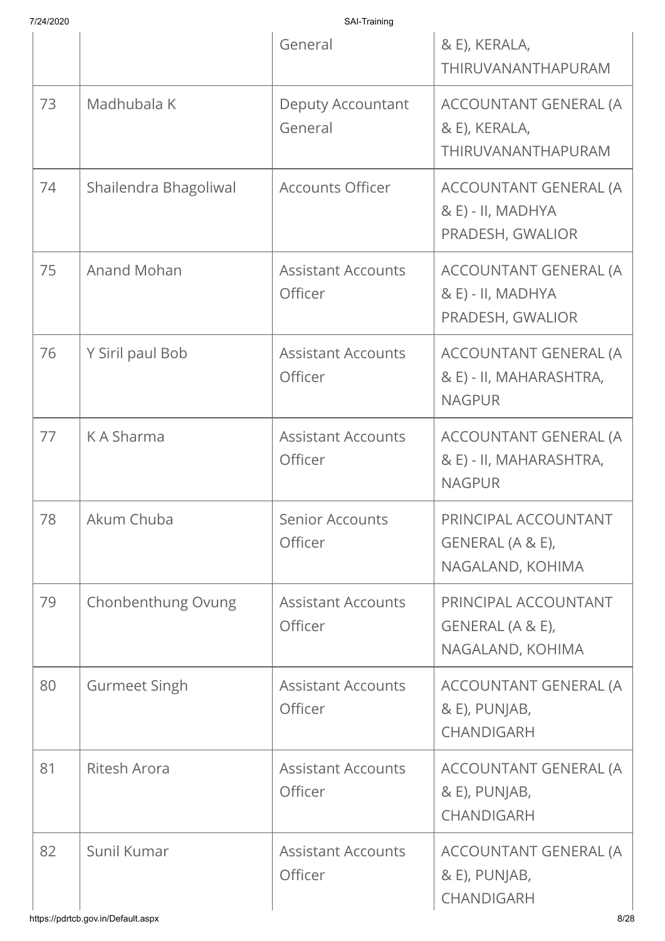|    |                       | General                              | & E), KERALA,<br>THIRUVANANTHAPURAM                               |
|----|-----------------------|--------------------------------------|-------------------------------------------------------------------|
| 73 | Madhubala K           | <b>Deputy Accountant</b><br>General  | ACCOUNTANT GENERAL (A<br>& E), KERALA,<br>THIRUVANANTHAPURAM      |
| 74 | Shailendra Bhagoliwal | <b>Accounts Officer</b>              | ACCOUNTANT GENERAL (A<br>& E) - II, MADHYA<br>PRADESH, GWALIOR    |
| 75 | <b>Anand Mohan</b>    | <b>Assistant Accounts</b><br>Officer | ACCOUNTANT GENERAL (A<br>& E) - II, MADHYA<br>PRADESH, GWALIOR    |
| 76 | Y Siril paul Bob      | <b>Assistant Accounts</b><br>Officer | ACCOUNTANT GENERAL (A<br>& E) - II, MAHARASHTRA,<br><b>NAGPUR</b> |
| 77 | K A Sharma            | <b>Assistant Accounts</b><br>Officer | ACCOUNTANT GENERAL (A<br>& E) - II, MAHARASHTRA,<br><b>NAGPUR</b> |
| 78 | Akum Chuba            | <b>Senior Accounts</b><br>Officer    | PRINCIPAL ACCOUNTANT<br>GENERAL (A & E),<br>NAGALAND, KOHIMA      |
| 79 | Chonbenthung Ovung    | <b>Assistant Accounts</b><br>Officer | PRINCIPAL ACCOUNTANT<br>GENERAL (A & E),<br>NAGALAND, KOHIMA      |
| 80 | <b>Gurmeet Singh</b>  | <b>Assistant Accounts</b><br>Officer | ACCOUNTANT GENERAL (A<br>& E), PUNJAB,<br>CHANDIGARH              |
| 81 | <b>Ritesh Arora</b>   | <b>Assistant Accounts</b><br>Officer | ACCOUNTANT GENERAL (A<br>& E), PUNJAB,<br><b>CHANDIGARH</b>       |
| 82 | Sunil Kumar           | <b>Assistant Accounts</b><br>Officer | ACCOUNTANT GENERAL (A<br>& E), PUNJAB,<br>CHANDIGARH              |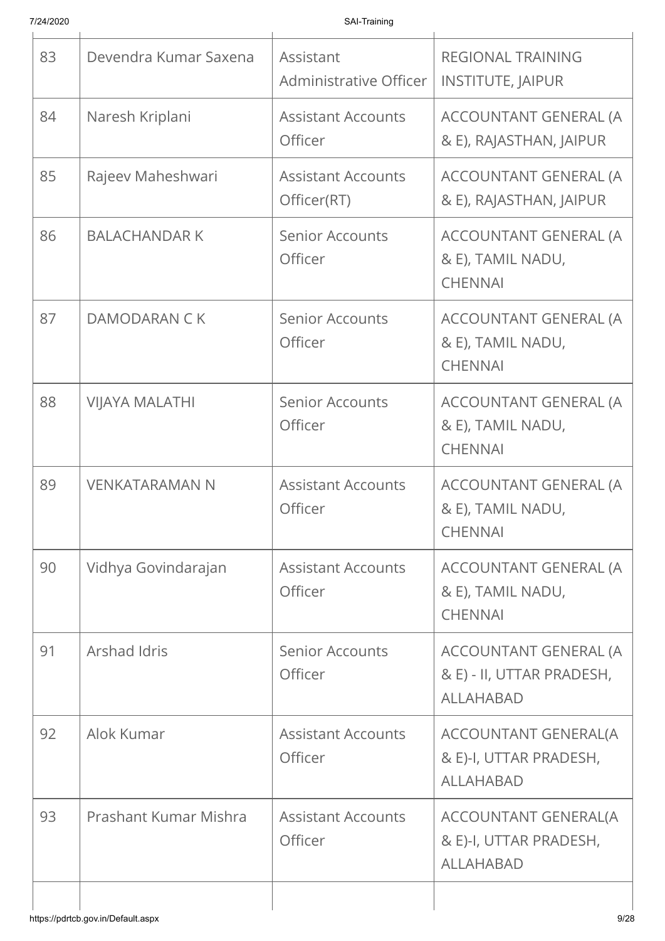| 83 | Devendra Kumar Saxena | Assistant<br>Administrative Officer      | <b>REGIONAL TRAINING</b><br><b>INSTITUTE, JAIPUR</b>                      |
|----|-----------------------|------------------------------------------|---------------------------------------------------------------------------|
| 84 | Naresh Kriplani       | <b>Assistant Accounts</b><br>Officer     | ACCOUNTANT GENERAL (A<br>& E), RAJASTHAN, JAIPUR                          |
| 85 | Rajeev Maheshwari     | <b>Assistant Accounts</b><br>Officer(RT) | ACCOUNTANT GENERAL (A<br>& E), RAJASTHAN, JAIPUR                          |
| 86 | <b>BALACHANDAR K</b>  | <b>Senior Accounts</b><br>Officer        | ACCOUNTANT GENERAL (A<br>& E), TAMIL NADU,<br><b>CHENNAI</b>              |
| 87 | DAMODARAN C K         | <b>Senior Accounts</b><br>Officer        | ACCOUNTANT GENERAL (A<br>& E), TAMIL NADU,<br><b>CHENNAI</b>              |
| 88 | <b>VIJAYA MALATHI</b> | <b>Senior Accounts</b><br>Officer        | ACCOUNTANT GENERAL (A<br>& E), TAMIL NADU,<br><b>CHENNAI</b>              |
| 89 | <b>VENKATARAMAN N</b> | <b>Assistant Accounts</b><br>Officer     | ACCOUNTANT GENERAL (A<br>& E), TAMIL NADU,<br><b>CHENNAI</b>              |
| 90 | Vidhya Govindarajan   | <b>Assistant Accounts</b><br>Officer     | ACCOUNTANT GENERAL (A<br>& E), TAMIL NADU,<br><b>CHENNAI</b>              |
| 91 | Arshad Idris          | <b>Senior Accounts</b><br>Officer        | ACCOUNTANT GENERAL (A<br>& E) - II, UTTAR PRADESH,<br><b>ALLAHABAD</b>    |
| 92 | Alok Kumar            | <b>Assistant Accounts</b><br>Officer     | ACCOUNTANT GENERAL(A<br>& E)-I, UTTAR PRADESH,<br><b>ALLAHABAD</b>        |
| 93 | Prashant Kumar Mishra | <b>Assistant Accounts</b><br>Officer     | <b>ACCOUNTANT GENERAL(A</b><br>& E)-I, UTTAR PRADESH,<br><b>ALLAHABAD</b> |
|    |                       |                                          |                                                                           |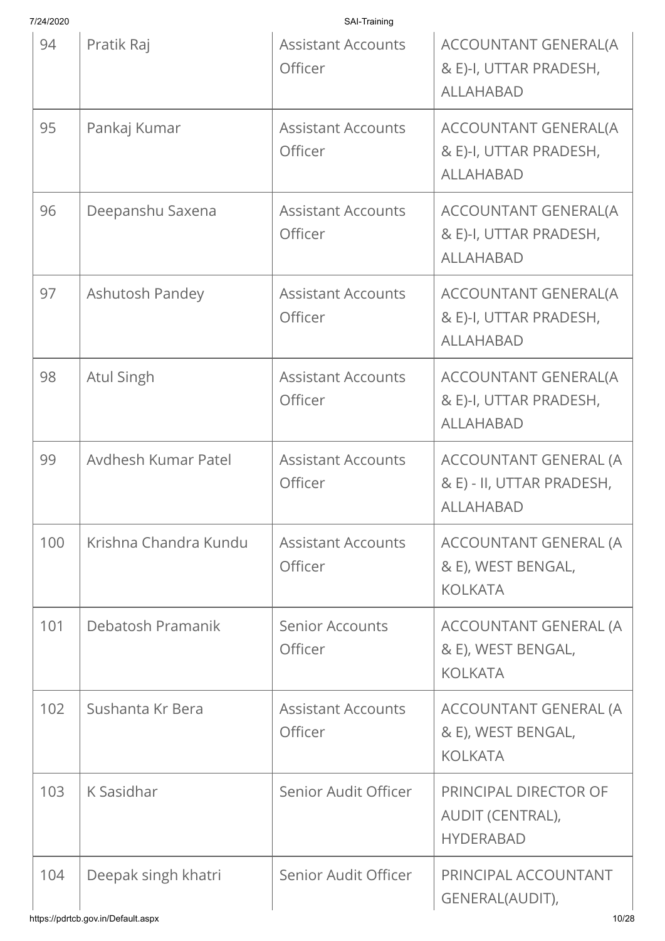| 7/24/2020 |                       | SAI-Training                                |                                                                           |
|-----------|-----------------------|---------------------------------------------|---------------------------------------------------------------------------|
| 94        | Pratik Raj            | <b>Assistant Accounts</b><br>Officer        | <b>ACCOUNTANT GENERAL(A</b><br>& E)-I, UTTAR PRADESH,<br><b>ALLAHABAD</b> |
| 95        | Pankaj Kumar          | <b>Assistant Accounts</b><br>Officer        | ACCOUNTANT GENERAL(A<br>& E)-I, UTTAR PRADESH,<br><b>ALLAHABAD</b>        |
| 96        | Deepanshu Saxena      | <b>Assistant Accounts</b><br>Officer        | ACCOUNTANT GENERAL(A<br>& E)-I, UTTAR PRADESH,<br><b>ALLAHABAD</b>        |
| 97        | Ashutosh Pandey       | <b>Assistant Accounts</b><br>Officer        | <b>ACCOUNTANT GENERAL(A</b><br>& E)-I, UTTAR PRADESH,<br><b>ALLAHABAD</b> |
| 98        | <b>Atul Singh</b>     | <b>Assistant Accounts</b><br>Officer        | <b>ACCOUNTANT GENERAL(A</b><br>& E)-I, UTTAR PRADESH,<br><b>ALLAHABAD</b> |
| 99        | Avdhesh Kumar Patel   | <b>Assistant Accounts</b><br>Officer        | ACCOUNTANT GENERAL (A<br>& E) - II, UTTAR PRADESH,<br><b>ALLAHABAD</b>    |
| 100       | Krishna Chandra Kundu | <b>Assistant Accounts</b><br><b>Officer</b> | ACCOUNTANT GENERAL (A<br>& E), WEST BENGAL,<br><b>KOLKATA</b>             |
| 101       | Debatosh Pramanik     | <b>Senior Accounts</b><br>Officer           | ACCOUNTANT GENERAL (A<br>& E), WEST BENGAL,<br><b>KOLKATA</b>             |
| 102       | Sushanta Kr Bera      | <b>Assistant Accounts</b><br>Officer        | ACCOUNTANT GENERAL (A<br>& E), WEST BENGAL,<br><b>KOLKATA</b>             |
| 103       | K Sasidhar            | Senior Audit Officer                        | PRINCIPAL DIRECTOR OF<br>AUDIT (CENTRAL),<br><b>HYDERABAD</b>             |
| 104       | Deepak singh khatri   | Senior Audit Officer                        | PRINCIPAL ACCOUNTANT<br>GENERAL(AUDIT),                                   |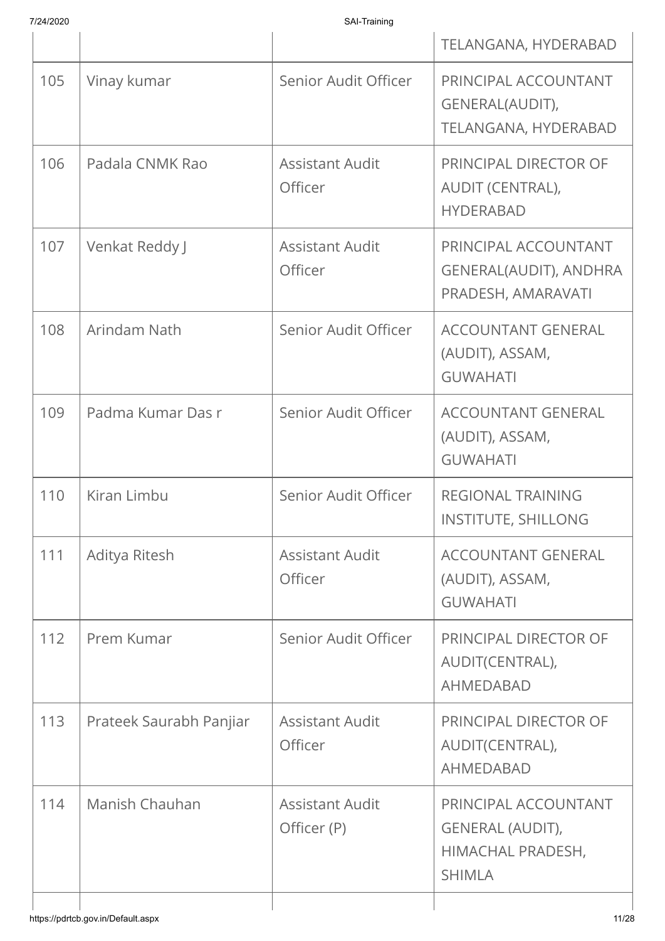|     |                                    |                                       | TELANGANA, HYDERABAD                                                                  |
|-----|------------------------------------|---------------------------------------|---------------------------------------------------------------------------------------|
| 105 | Vinay kumar                        | Senior Audit Officer                  | PRINCIPAL ACCOUNTANT<br>GENERAL(AUDIT),<br>TELANGANA, HYDERABAD                       |
| 106 | Padala CNMK Rao                    | <b>Assistant Audit</b><br>Officer     | PRINCIPAL DIRECTOR OF<br>AUDIT (CENTRAL),<br><b>HYDERABAD</b>                         |
| 107 | Venkat Reddy J                     | <b>Assistant Audit</b><br>Officer     | PRINCIPAL ACCOUNTANT<br>GENERAL(AUDIT), ANDHRA<br>PRADESH, AMARAVATI                  |
| 108 | Arindam Nath                       | Senior Audit Officer                  | <b>ACCOUNTANT GENERAL</b><br>(AUDIT), ASSAM,<br><b>GUWAHATI</b>                       |
| 109 | Padma Kumar Das r                  | Senior Audit Officer                  | <b>ACCOUNTANT GENERAL</b><br>(AUDIT), ASSAM,<br><b>GUWAHATI</b>                       |
| 110 | Kiran Limbu                        | Senior Audit Officer                  | <b>REGIONAL TRAINING</b><br><b>INSTITUTE, SHILLONG</b>                                |
| 111 | Aditya Ritesh                      | <b>Assistant Audit</b><br>Officer     | <b>ACCOUNTANT GENERAL</b><br>(AUDIT), ASSAM,<br><b>GUWAHATI</b>                       |
| 112 | Prem Kumar                         | Senior Audit Officer                  | PRINCIPAL DIRECTOR OF<br>AUDIT(CENTRAL),<br><b>AHMEDABAD</b>                          |
| 113 | Prateek Saurabh Panjiar            | <b>Assistant Audit</b><br>Officer     | PRINCIPAL DIRECTOR OF<br>AUDIT(CENTRAL),<br>AHMEDABAD                                 |
| 114 | Manish Chauhan                     | <b>Assistant Audit</b><br>Officer (P) | PRINCIPAL ACCOUNTANT<br><b>GENERAL (AUDIT),</b><br>HIMACHAL PRADESH,<br><b>SHIMLA</b> |
|     | https://pdrtcb.gov.in/Default.aspx |                                       | 11/28                                                                                 |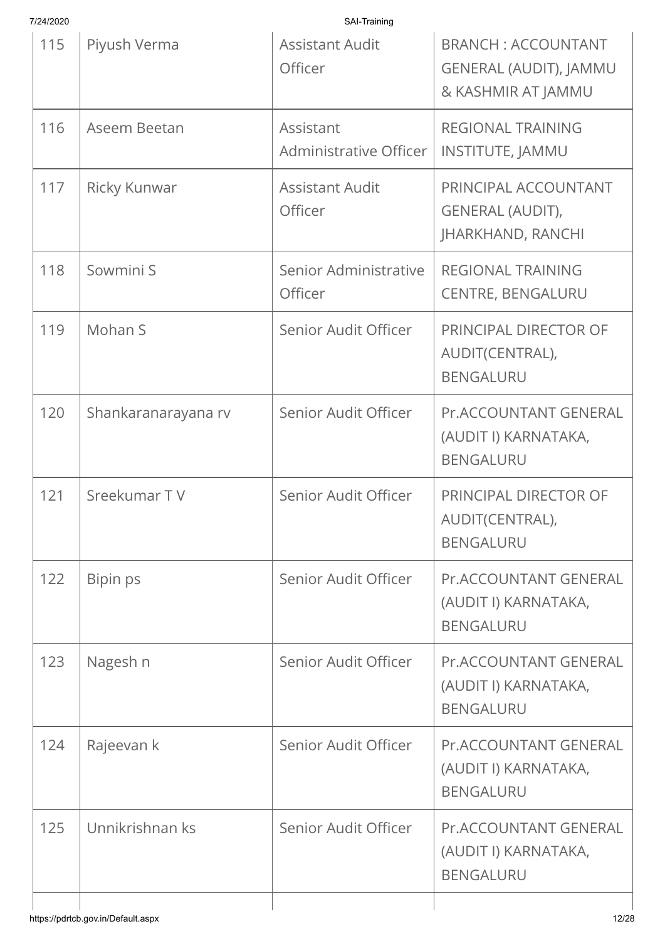| 7/24/2020 |                     | SAI-Training                        |                                                                                  |
|-----------|---------------------|-------------------------------------|----------------------------------------------------------------------------------|
| 115       | Piyush Verma        | <b>Assistant Audit</b><br>Officer   | <b>BRANCH: ACCOUNTANT</b><br><b>GENERAL (AUDIT), JAMMU</b><br>& KASHMIR AT JAMMU |
| 116       | Aseem Beetan        | Assistant<br>Administrative Officer | <b>REGIONAL TRAINING</b><br><b>INSTITUTE, JAMMU</b>                              |
| 117       | Ricky Kunwar        | <b>Assistant Audit</b><br>Officer   | PRINCIPAL ACCOUNTANT<br><b>GENERAL (AUDIT),</b><br><b>JHARKHAND, RANCHI</b>      |
| 118       | Sowmini S           | Senior Administrative<br>Officer    | <b>REGIONAL TRAINING</b><br><b>CENTRE, BENGALURU</b>                             |
| 119       | Mohan S             | Senior Audit Officer                | PRINCIPAL DIRECTOR OF<br>AUDIT(CENTRAL),<br><b>BENGALURU</b>                     |
| 120       | Shankaranarayana rv | Senior Audit Officer                | <b>Pr.ACCOUNTANT GENERAL</b><br>(AUDIT I) KARNATAKA,<br><b>BENGALURU</b>         |
| 121       | Sreekumar TV        | Senior Audit Officer                | PRINCIPAL DIRECTOR OF<br>AUDIT(CENTRAL),<br><b>BENGALURU</b>                     |
| 122       | Bipin ps            | Senior Audit Officer                | Pr.ACCOUNTANT GENERAL<br>(AUDIT I) KARNATAKA,<br><b>BENGALURU</b>                |
| 123       | Nagesh n            | Senior Audit Officer                | <b>Pr.ACCOUNTANT GENERAL</b><br>(AUDIT I) KARNATAKA,<br><b>BENGALURU</b>         |
| 124       | Rajeevan k          | Senior Audit Officer                | Pr.ACCOUNTANT GENERAL<br>(AUDIT I) KARNATAKA,<br><b>BENGALURU</b>                |
| 125       | Unnikrishnan ks     | Senior Audit Officer                | Pr.ACCOUNTANT GENERAL<br>(AUDIT I) KARNATAKA,<br><b>BENGALURU</b>                |
|           |                     |                                     |                                                                                  |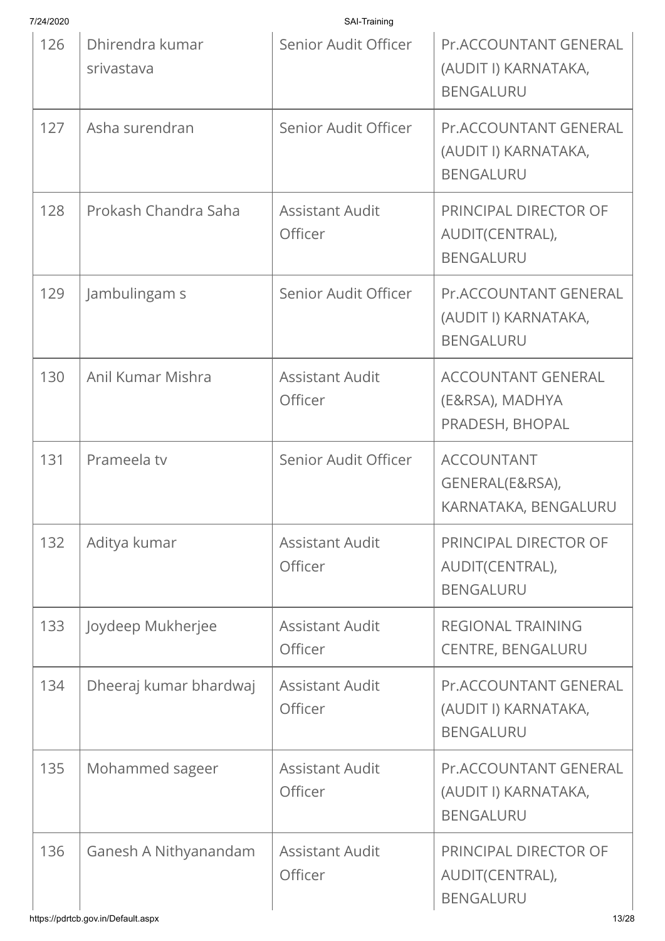| 7/24/2020 |                               | SAI-Training                      |                                                                          |
|-----------|-------------------------------|-----------------------------------|--------------------------------------------------------------------------|
| 126       | Dhirendra kumar<br>srivastava | Senior Audit Officer              | <b>Pr.ACCOUNTANT GENERAL</b><br>(AUDIT I) KARNATAKA,<br><b>BENGALURU</b> |
| 127       | Asha surendran                | Senior Audit Officer              | Pr.ACCOUNTANT GENERAL<br>(AUDIT I) KARNATAKA,<br><b>BENGALURU</b>        |
| 128       | Prokash Chandra Saha          | <b>Assistant Audit</b><br>Officer | PRINCIPAL DIRECTOR OF<br>AUDIT(CENTRAL),<br><b>BENGALURU</b>             |
| 129       | Jambulingam s                 | Senior Audit Officer              | <b>Pr.ACCOUNTANT GENERAL</b><br>(AUDIT I) KARNATAKA,<br><b>BENGALURU</b> |
| 130       | Anil Kumar Mishra             | <b>Assistant Audit</b><br>Officer | <b>ACCOUNTANT GENERAL</b><br>(E&RSA), MADHYA<br>PRADESH, BHOPAL          |
| 131       | Prameela tv                   | Senior Audit Officer              | <b>ACCOUNTANT</b><br>GENERAL(E&RSA),<br>KARNATAKA, BENGALURU             |
| 132       | Aditya kumar                  | <b>Assistant Audit</b><br>Officer | PRINCIPAL DIRECTOR OF<br>AUDIT(CENTRAL),<br><b>BENGALURU</b>             |
| 133       | Joydeep Mukherjee             | <b>Assistant Audit</b><br>Officer | <b>REGIONAL TRAINING</b><br><b>CENTRE, BENGALURU</b>                     |
| 134       | Dheeraj kumar bhardwaj        | <b>Assistant Audit</b><br>Officer | Pr.ACCOUNTANT GENERAL<br>(AUDIT I) KARNATAKA,<br><b>BENGALURU</b>        |
| 135       | Mohammed sageer               | <b>Assistant Audit</b><br>Officer | Pr.ACCOUNTANT GENERAL<br>(AUDIT I) KARNATAKA,<br><b>BENGALURU</b>        |
| 136       | Ganesh A Nithyanandam         | <b>Assistant Audit</b><br>Officer | PRINCIPAL DIRECTOR OF<br>AUDIT(CENTRAL),<br><b>BENGALURU</b>             |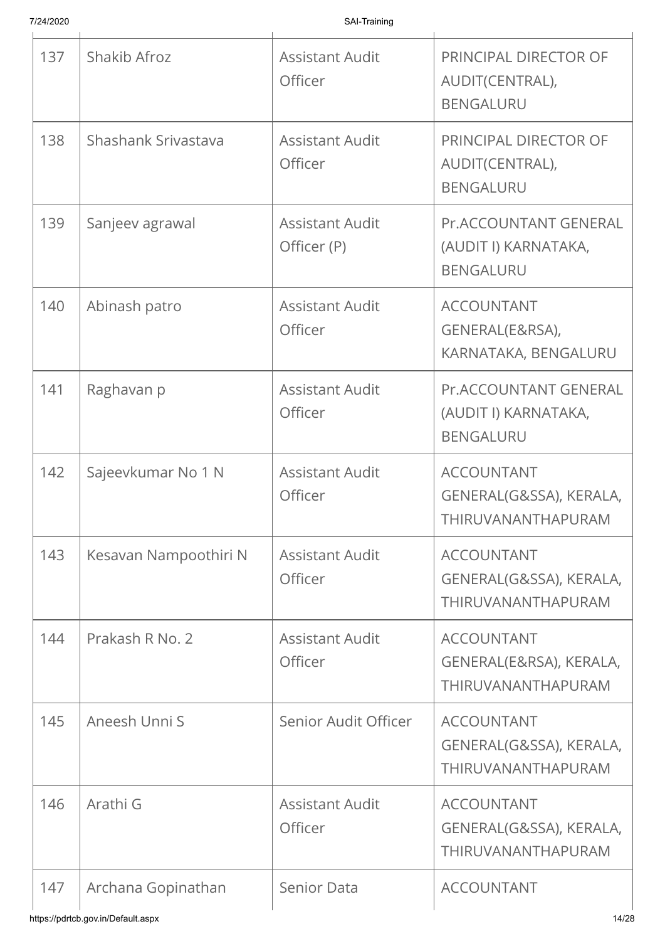| 137 | Shakib Afroz          | <b>Assistant Audit</b><br>Officer        | PRINCIPAL DIRECTOR OF<br>AUDIT(CENTRAL),<br><b>BENGALURU</b>       |
|-----|-----------------------|------------------------------------------|--------------------------------------------------------------------|
| 138 | Shashank Srivastava   | <b>Assistant Audit</b><br><b>Officer</b> | PRINCIPAL DIRECTOR OF<br>AUDIT(CENTRAL),<br><b>BENGALURU</b>       |
| 139 | Sanjeev agrawal       | <b>Assistant Audit</b><br>Officer (P)    | Pr.ACCOUNTANT GENERAL<br>(AUDIT I) KARNATAKA,<br><b>BENGALURU</b>  |
| 140 | Abinash patro         | <b>Assistant Audit</b><br>Officer        | <b>ACCOUNTANT</b><br>GENERAL(E&RSA),<br>KARNATAKA, BENGALURU       |
| 141 | Raghavan p            | <b>Assistant Audit</b><br>Officer        | Pr.ACCOUNTANT GENERAL<br>(AUDIT I) KARNATAKA,<br><b>BENGALURU</b>  |
| 142 | Sajeevkumar No 1 N    | <b>Assistant Audit</b><br>Officer        | <b>ACCOUNTANT</b><br>GENERAL(G&SSA), KERALA,<br>THIRUVANANTHAPURAM |
| 143 | Kesavan Nampoothiri N | <b>Assistant Audit</b><br>Officer        | <b>ACCOUNTANT</b><br>GENERAL(G&SSA), KERALA,<br>THIRUVANANTHAPURAM |
| 144 | Prakash R No. 2       | <b>Assistant Audit</b><br>Officer        | <b>ACCOUNTANT</b><br>GENERAL(E&RSA), KERALA,<br>THIRUVANANTHAPURAM |
| 145 | Aneesh Unni S         | Senior Audit Officer                     | <b>ACCOUNTANT</b><br>GENERAL(G&SSA), KERALA,<br>THIRUVANANTHAPURAM |
| 146 | Arathi G              | <b>Assistant Audit</b><br>Officer        | <b>ACCOUNTANT</b><br>GENERAL(G&SSA), KERALA,<br>THIRUVANANTHAPURAM |
| 147 | Archana Gopinathan    | Senior Data                              | <b>ACCOUNTANT</b>                                                  |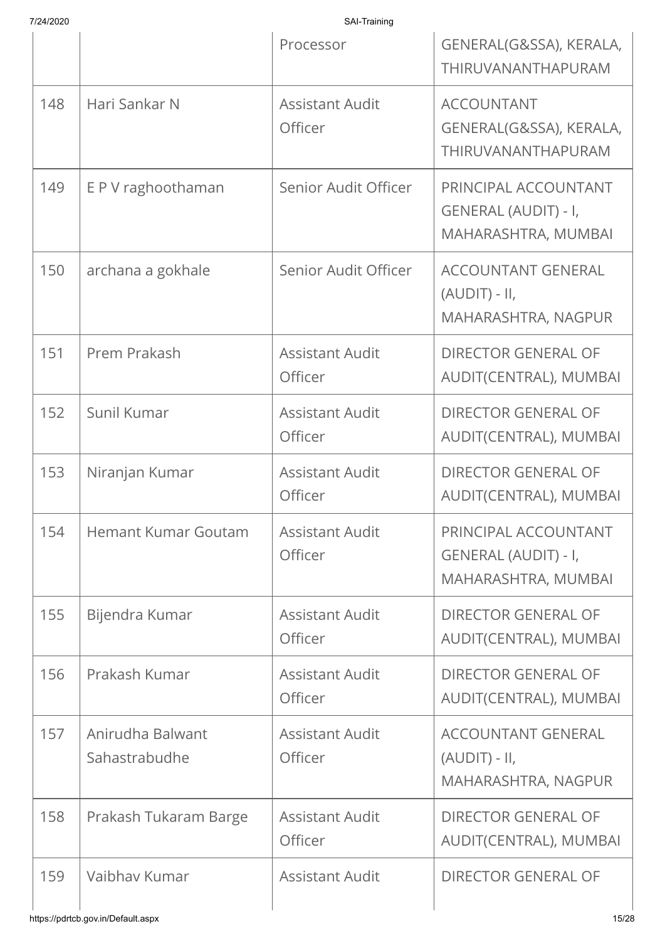| 7/24/2020 |
|-----------|
|           |

|     |                                   | Processor                         | GENERAL(G&SSA), KERALA,<br>THIRUVANANTHAPURAM                       |
|-----|-----------------------------------|-----------------------------------|---------------------------------------------------------------------|
| 148 | Hari Sankar N                     | <b>Assistant Audit</b><br>Officer | <b>ACCOUNTANT</b><br>GENERAL(G&SSA), KERALA,<br>THIRUVANANTHAPURAM  |
| 149 | E P V raghoothaman                | Senior Audit Officer              | PRINCIPAL ACCOUNTANT<br>GENERAL (AUDIT) - I,<br>MAHARASHTRA, MUMBAI |
| 150 | archana a gokhale                 | Senior Audit Officer              | <b>ACCOUNTANT GENERAL</b><br>$(AUDIT) - II,$<br>MAHARASHTRA, NAGPUR |
| 151 | Prem Prakash                      | <b>Assistant Audit</b><br>Officer | <b>DIRECTOR GENERAL OF</b><br>AUDIT(CENTRAL), MUMBAI                |
| 152 | Sunil Kumar                       | <b>Assistant Audit</b><br>Officer | <b>DIRECTOR GENERAL OF</b><br>AUDIT(CENTRAL), MUMBAI                |
| 153 | Niranjan Kumar                    | <b>Assistant Audit</b><br>Officer | <b>DIRECTOR GENERAL OF</b><br>AUDIT(CENTRAL), MUMBAI                |
| 154 | <b>Hemant Kumar Goutam</b>        | <b>Assistant Audit</b><br>Officer | PRINCIPAL ACCOUNTANT<br>GENERAL (AUDIT) - I,<br>MAHARASHTRA, MUMBAI |
| 155 | Bijendra Kumar                    | <b>Assistant Audit</b><br>Officer | <b>DIRECTOR GENERAL OF</b><br>AUDIT(CENTRAL), MUMBAI                |
| 156 | Prakash Kumar                     | <b>Assistant Audit</b><br>Officer | <b>DIRECTOR GENERAL OF</b><br>AUDIT(CENTRAL), MUMBAI                |
| 157 | Anirudha Balwant<br>Sahastrabudhe | <b>Assistant Audit</b><br>Officer | <b>ACCOUNTANT GENERAL</b><br>$(AUDIT) - II,$<br>MAHARASHTRA, NAGPUR |
| 158 | Prakash Tukaram Barge             | <b>Assistant Audit</b><br>Officer | <b>DIRECTOR GENERAL OF</b><br>AUDIT(CENTRAL), MUMBAI                |
| 159 | Vaibhay Kumar                     | <b>Assistant Audit</b>            | <b>DIRECTOR GENERAL OF</b>                                          |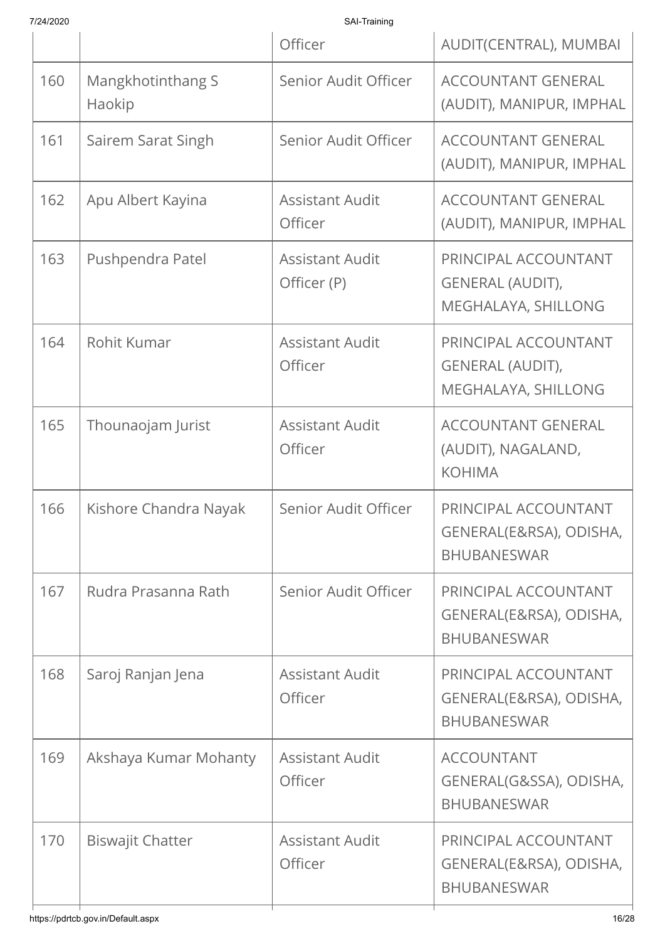| 7/24/2020 |                             | SAI-Training                          |                                                                        |
|-----------|-----------------------------|---------------------------------------|------------------------------------------------------------------------|
|           |                             | Officer                               | AUDIT(CENTRAL), MUMBAI                                                 |
| 160       | Mangkhotinthang S<br>Haokip | Senior Audit Officer                  | <b>ACCOUNTANT GENERAL</b><br>(AUDIT), MANIPUR, IMPHAL                  |
| 161       | Sairem Sarat Singh          | Senior Audit Officer                  | <b>ACCOUNTANT GENERAL</b><br>(AUDIT), MANIPUR, IMPHAL                  |
| 162       | Apu Albert Kayina           | <b>Assistant Audit</b><br>Officer     | <b>ACCOUNTANT GENERAL</b><br>(AUDIT), MANIPUR, IMPHAL                  |
| 163       | Pushpendra Patel            | <b>Assistant Audit</b><br>Officer (P) | PRINCIPAL ACCOUNTANT<br><b>GENERAL (AUDIT),</b><br>MEGHALAYA, SHILLONG |
| 164       | Rohit Kumar                 | <b>Assistant Audit</b><br>Officer     | PRINCIPAL ACCOUNTANT<br><b>GENERAL (AUDIT),</b><br>MEGHALAYA, SHILLONG |
| 165       | Thounaojam Jurist           | <b>Assistant Audit</b><br>Officer     | <b>ACCOUNTANT GENERAL</b><br>(AUDIT), NAGALAND,<br><b>KOHIMA</b>       |
| 166       | Kishore Chandra Nayak       | Senior Audit Officer                  | PRINCIPAL ACCOUNTANT<br>GENERAL(E&RSA), ODISHA,<br><b>BHUBANESWAR</b>  |
| 167       | Rudra Prasanna Rath         | Senior Audit Officer                  | PRINCIPAL ACCOUNTANT<br>GENERAL(E&RSA), ODISHA,<br><b>BHUBANESWAR</b>  |
| 168       | Saroj Ranjan Jena           | <b>Assistant Audit</b><br>Officer     | PRINCIPAL ACCOUNTANT<br>GENERAL(E&RSA), ODISHA,<br><b>BHUBANESWAR</b>  |
| 169       | Akshaya Kumar Mohanty       | <b>Assistant Audit</b><br>Officer     | <b>ACCOUNTANT</b><br>GENERAL(G&SSA), ODISHA,<br><b>BHUBANESWAR</b>     |
| 170       | <b>Biswajit Chatter</b>     | <b>Assistant Audit</b><br>Officer     | PRINCIPAL ACCOUNTANT<br>GENERAL(E&RSA), ODISHA,<br><b>BHUBANESWAR</b>  |
|           |                             |                                       |                                                                        |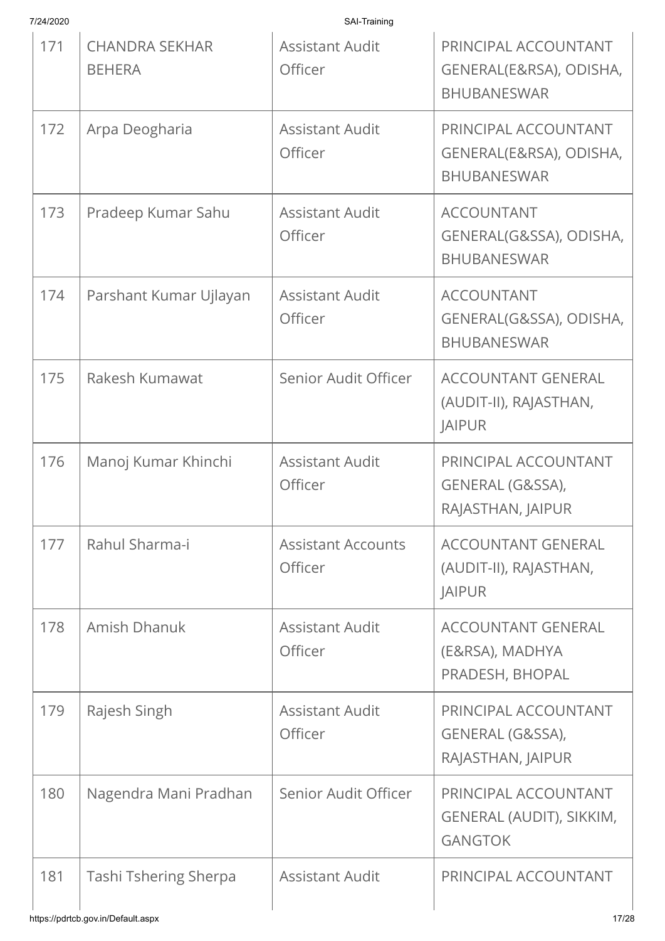| 7/24/2020 |                                        | SAI-Training                         |                                                                       |
|-----------|----------------------------------------|--------------------------------------|-----------------------------------------------------------------------|
| 171       | <b>CHANDRA SEKHAR</b><br><b>BEHERA</b> | <b>Assistant Audit</b><br>Officer    | PRINCIPAL ACCOUNTANT<br>GENERAL(E&RSA), ODISHA,<br><b>BHUBANESWAR</b> |
| 172       | Arpa Deogharia                         | <b>Assistant Audit</b><br>Officer    | PRINCIPAL ACCOUNTANT<br>GENERAL(E&RSA), ODISHA,<br><b>BHUBANESWAR</b> |
| 173       | Pradeep Kumar Sahu                     | <b>Assistant Audit</b><br>Officer    | <b>ACCOUNTANT</b><br>GENERAL(G&SSA), ODISHA,<br><b>BHUBANESWAR</b>    |
| 174       | Parshant Kumar Ujlayan                 | <b>Assistant Audit</b><br>Officer    | <b>ACCOUNTANT</b><br>GENERAL(G&SSA), ODISHA,<br><b>BHUBANESWAR</b>    |
| 175       | Rakesh Kumawat                         | Senior Audit Officer                 | <b>ACCOUNTANT GENERAL</b><br>(AUDIT-II), RAJASTHAN,<br><b>JAIPUR</b>  |
| 176       | Manoj Kumar Khinchi                    | <b>Assistant Audit</b><br>Officer    | PRINCIPAL ACCOUNTANT<br>GENERAL (G&SSA),<br>RAJASTHAN, JAIPUR         |
| 177       | Rahul Sharma-i                         | <b>Assistant Accounts</b><br>Officer | <b>ACCOUNTANT GENERAL</b><br>(AUDIT-II), RAJASTHAN,<br><b>JAIPUR</b>  |
| 178       | Amish Dhanuk                           | <b>Assistant Audit</b><br>Officer    | <b>ACCOUNTANT GENERAL</b><br>(E&RSA), MADHYA<br>PRADESH, BHOPAL       |
| 179       | Rajesh Singh                           | <b>Assistant Audit</b><br>Officer    | PRINCIPAL ACCOUNTANT<br>GENERAL (G&SSA),<br>RAJASTHAN, JAIPUR         |
| 180       | Nagendra Mani Pradhan                  | Senior Audit Officer                 | PRINCIPAL ACCOUNTANT<br>GENERAL (AUDIT), SIKKIM,<br><b>GANGTOK</b>    |
| 181       | Tashi Tshering Sherpa                  | <b>Assistant Audit</b>               | PRINCIPAL ACCOUNTANT                                                  |
|           | https://pdrtcb.gov.in/Default.aspx     |                                      | 17/28                                                                 |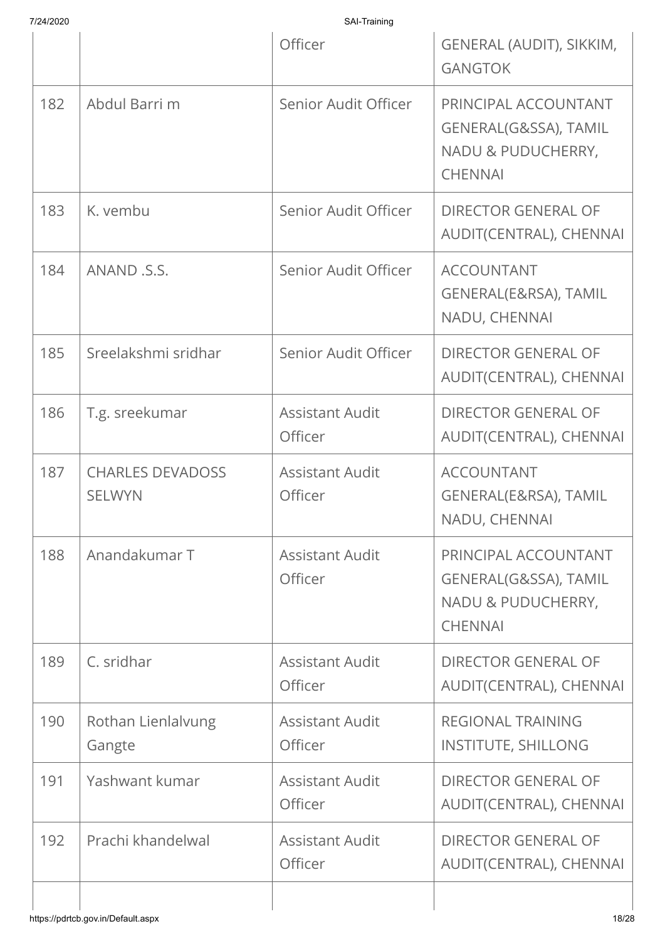| SAI-Training<br>7/24/2020 |                                          |                                   |                                                                                       |
|---------------------------|------------------------------------------|-----------------------------------|---------------------------------------------------------------------------------------|
|                           |                                          | Officer                           | GENERAL (AUDIT), SIKKIM,<br><b>GANGTOK</b>                                            |
| 182                       | Abdul Barri m                            | Senior Audit Officer              | PRINCIPAL ACCOUNTANT<br>GENERAL(G&SSA), TAMIL<br>NADU & PUDUCHERRY,<br><b>CHENNAI</b> |
| 183                       | K. vembu                                 | Senior Audit Officer              | <b>DIRECTOR GENERAL OF</b><br>AUDIT(CENTRAL), CHENNAI                                 |
| 184                       | ANAND .S.S.                              | Senior Audit Officer              | <b>ACCOUNTANT</b><br>GENERAL(E&RSA), TAMIL<br>NADU, CHENNAI                           |
| 185                       | Sreelakshmi sridhar                      | Senior Audit Officer              | <b>DIRECTOR GENERAL OF</b><br>AUDIT(CENTRAL), CHENNAI                                 |
| 186                       | T.g. sreekumar                           | <b>Assistant Audit</b><br>Officer | <b>DIRECTOR GENERAL OF</b><br>AUDIT(CENTRAL), CHENNAI                                 |
| 187                       | <b>CHARLES DEVADOSS</b><br><b>SELWYN</b> | <b>Assistant Audit</b><br>Officer | <b>ACCOUNTANT</b><br>GENERAL(E&RSA), TAMIL<br>NADU, CHENNAI                           |
| 188                       | Anandakumar T                            | <b>Assistant Audit</b><br>Officer | PRINCIPAL ACCOUNTANT<br>GENERAL(G&SSA), TAMIL<br>NADU & PUDUCHERRY,<br><b>CHENNAI</b> |
| 189                       | C. sridhar                               | <b>Assistant Audit</b><br>Officer | <b>DIRECTOR GENERAL OF</b><br>AUDIT(CENTRAL), CHENNAI                                 |
| 190                       | Rothan Lienlalvung<br>Gangte             | <b>Assistant Audit</b><br>Officer | <b>REGIONAL TRAINING</b><br><b>INSTITUTE, SHILLONG</b>                                |
| 191                       | Yashwant kumar                           | <b>Assistant Audit</b><br>Officer | <b>DIRECTOR GENERAL OF</b><br>AUDIT(CENTRAL), CHENNAI                                 |
| 192                       | Prachi khandelwal                        | <b>Assistant Audit</b><br>Officer | <b>DIRECTOR GENERAL OF</b><br>AUDIT(CENTRAL), CHENNAI                                 |
|                           |                                          |                                   |                                                                                       |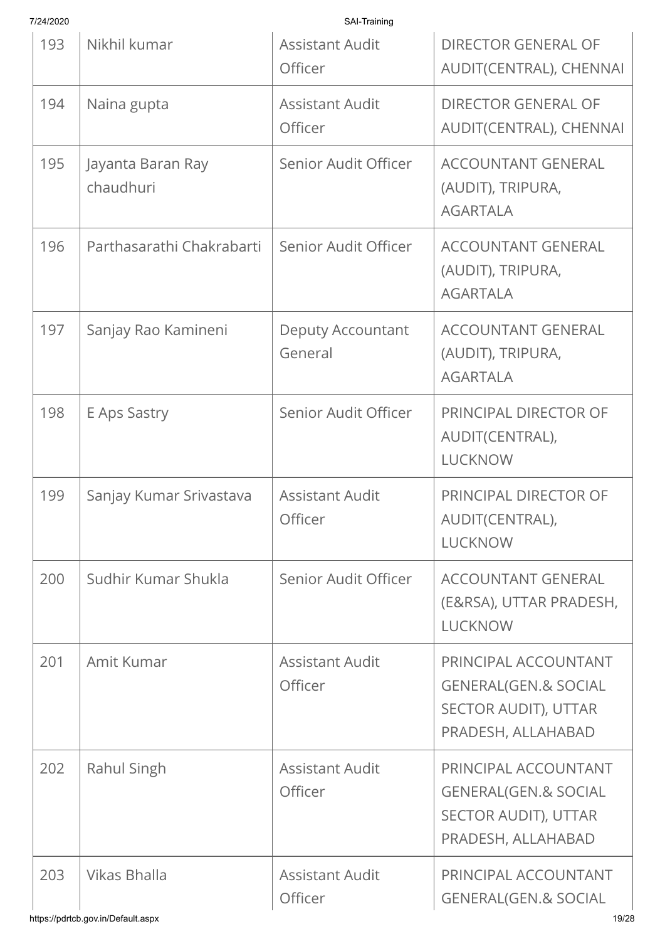| 7/24/2020 |                                | SAI-Training                        |                                                                                                       |
|-----------|--------------------------------|-------------------------------------|-------------------------------------------------------------------------------------------------------|
| 193       | Nikhil kumar                   | <b>Assistant Audit</b><br>Officer   | <b>DIRECTOR GENERAL OF</b><br>AUDIT(CENTRAL), CHENNAI                                                 |
| 194       | Naina gupta                    | <b>Assistant Audit</b><br>Officer   | <b>DIRECTOR GENERAL OF</b><br>AUDIT(CENTRAL), CHENNAI                                                 |
| 195       | Jayanta Baran Ray<br>chaudhuri | Senior Audit Officer                | <b>ACCOUNTANT GENERAL</b><br>(AUDIT), TRIPURA,<br><b>AGARTALA</b>                                     |
| 196       | Parthasarathi Chakrabarti      | Senior Audit Officer                | <b>ACCOUNTANT GENERAL</b><br>(AUDIT), TRIPURA,<br><b>AGARTALA</b>                                     |
| 197       | Sanjay Rao Kamineni            | <b>Deputy Accountant</b><br>General | <b>ACCOUNTANT GENERAL</b><br>(AUDIT), TRIPURA,<br><b>AGARTALA</b>                                     |
| 198       | E Aps Sastry                   | Senior Audit Officer                | PRINCIPAL DIRECTOR OF<br>AUDIT(CENTRAL),<br><b>LUCKNOW</b>                                            |
| 199       | Sanjay Kumar Srivastava        | <b>Assistant Audit</b><br>Officer   | PRINCIPAL DIRECTOR OF<br>AUDIT(CENTRAL),<br><b>LUCKNOW</b>                                            |
| 200       | Sudhir Kumar Shukla            | Senior Audit Officer                | <b>ACCOUNTANT GENERAL</b><br>(E&RSA), UTTAR PRADESH,<br><b>LUCKNOW</b>                                |
| 201       | Amit Kumar                     | <b>Assistant Audit</b><br>Officer   | PRINCIPAL ACCOUNTANT<br><b>GENERAL(GEN.&amp; SOCIAL</b><br>SECTOR AUDIT), UTTAR<br>PRADESH, ALLAHABAD |
| 202       | Rahul Singh                    | <b>Assistant Audit</b><br>Officer   | PRINCIPAL ACCOUNTANT<br><b>GENERAL(GEN.&amp; SOCIAL</b><br>SECTOR AUDIT), UTTAR<br>PRADESH, ALLAHABAD |
| 203       | Vikas Bhalla                   | <b>Assistant Audit</b><br>Officer   | PRINCIPAL ACCOUNTANT<br><b>GENERAL(GEN.&amp; SOCIAL</b>                                               |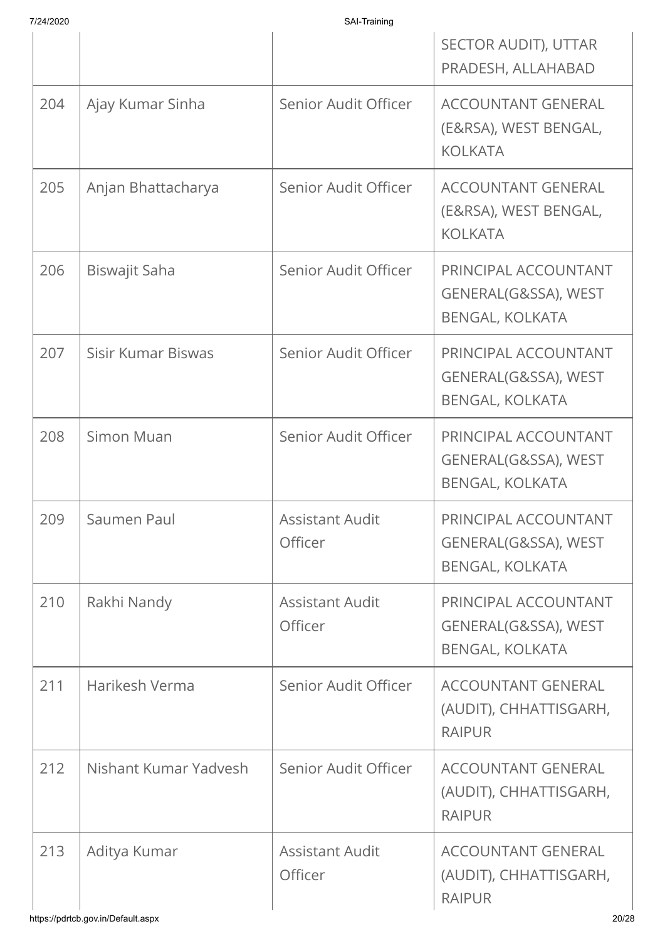| 7/24/2020 |  |
|-----------|--|
|           |  |

|     |                       |                                   | SECTOR AUDIT), UTTAR<br>PRADESH, ALLAHABAD                             |
|-----|-----------------------|-----------------------------------|------------------------------------------------------------------------|
| 204 | Ajay Kumar Sinha      | Senior Audit Officer              | <b>ACCOUNTANT GENERAL</b><br>(E&RSA), WEST BENGAL,<br><b>KOLKATA</b>   |
| 205 | Anjan Bhattacharya    | Senior Audit Officer              | <b>ACCOUNTANT GENERAL</b><br>(E&RSA), WEST BENGAL,<br><b>KOLKATA</b>   |
| 206 | Biswajit Saha         | Senior Audit Officer              | PRINCIPAL ACCOUNTANT<br>GENERAL(G&SSA), WEST<br><b>BENGAL, KOLKATA</b> |
| 207 | Sisir Kumar Biswas    | Senior Audit Officer              | PRINCIPAL ACCOUNTANT<br>GENERAL(G&SSA), WEST<br><b>BENGAL, KOLKATA</b> |
| 208 | Simon Muan            | Senior Audit Officer              | PRINCIPAL ACCOUNTANT<br>GENERAL(G&SSA), WEST<br><b>BENGAL, KOLKATA</b> |
| 209 | Saumen Paul           | <b>Assistant Audit</b><br>Officer | PRINCIPAL ACCOUNTANT<br>GENERAL(G&SSA), WEST<br><b>BENGAL, KOLKATA</b> |
| 210 | Rakhi Nandy           | <b>Assistant Audit</b><br>Officer | PRINCIPAL ACCOUNTANT<br>GENERAL(G&SSA), WEST<br><b>BENGAL, KOLKATA</b> |
| 211 | Harikesh Verma        | Senior Audit Officer              | <b>ACCOUNTANT GENERAL</b><br>(AUDIT), CHHATTISGARH,<br><b>RAIPUR</b>   |
| 212 | Nishant Kumar Yadvesh | Senior Audit Officer              | <b>ACCOUNTANT GENERAL</b><br>(AUDIT), CHHATTISGARH,<br><b>RAIPUR</b>   |
| 213 | Aditya Kumar          | <b>Assistant Audit</b><br>Officer | <b>ACCOUNTANT GENERAL</b><br>(AUDIT), CHHATTISGARH,<br><b>RAIPUR</b>   |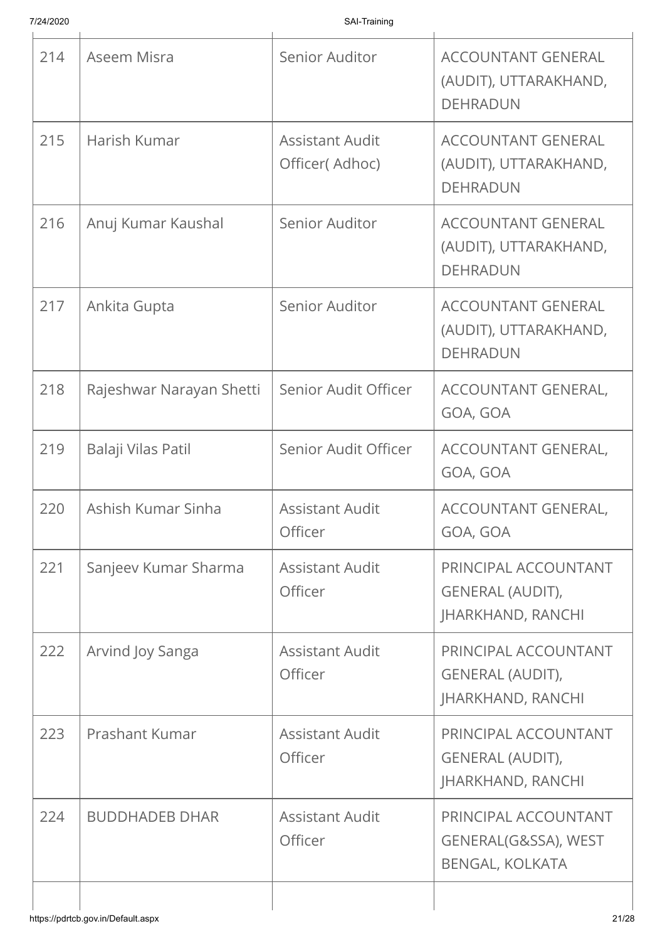| 214 | Aseem Misra              | Senior Auditor                           | <b>ACCOUNTANT GENERAL</b><br>(AUDIT), UTTARAKHAND,<br><b>DEHRADUN</b>       |
|-----|--------------------------|------------------------------------------|-----------------------------------------------------------------------------|
| 215 | Harish Kumar             | <b>Assistant Audit</b><br>Officer(Adhoc) | <b>ACCOUNTANT GENERAL</b><br>(AUDIT), UTTARAKHAND,<br><b>DEHRADUN</b>       |
| 216 | Anuj Kumar Kaushal       | Senior Auditor                           | <b>ACCOUNTANT GENERAL</b><br>(AUDIT), UTTARAKHAND,<br><b>DEHRADUN</b>       |
| 217 | Ankita Gupta             | Senior Auditor                           | <b>ACCOUNTANT GENERAL</b><br>(AUDIT), UTTARAKHAND,<br><b>DEHRADUN</b>       |
| 218 | Rajeshwar Narayan Shetti | Senior Audit Officer                     | ACCOUNTANT GENERAL,<br>GOA, GOA                                             |
| 219 | Balaji Vilas Patil       | Senior Audit Officer                     | ACCOUNTANT GENERAL,<br>GOA, GOA                                             |
| 220 | Ashish Kumar Sinha       | <b>Assistant Audit</b><br>Officer        | ACCOUNTANT GENERAL,<br>GOA, GOA                                             |
| 221 | Sanjeev Kumar Sharma     | <b>Assistant Audit</b><br>Officer        | PRINCIPAL ACCOUNTANT<br><b>GENERAL (AUDIT),</b><br><b>JHARKHAND, RANCHI</b> |
| 222 | Arvind Joy Sanga         | <b>Assistant Audit</b><br>Officer        | PRINCIPAL ACCOUNTANT<br>GENERAL (AUDIT),<br><b>JHARKHAND, RANCHI</b>        |
| 223 | Prashant Kumar           | <b>Assistant Audit</b><br>Officer        | PRINCIPAL ACCOUNTANT<br><b>GENERAL (AUDIT),</b><br><b>JHARKHAND, RANCHI</b> |
| 224 | <b>BUDDHADEB DHAR</b>    | <b>Assistant Audit</b><br>Officer        | PRINCIPAL ACCOUNTANT<br>GENERAL(G&SSA), WEST<br><b>BENGAL, KOLKATA</b>      |
|     |                          |                                          |                                                                             |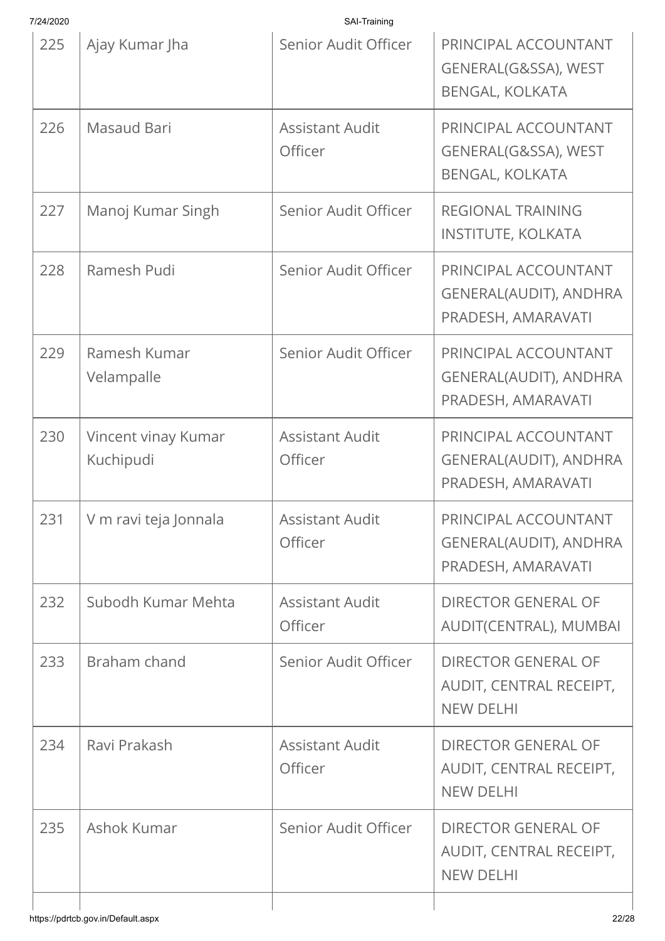| 7/24/2020 |  |
|-----------|--|

| Ajay Kumar Jha<br>Masaud Bari<br>Manoj Kumar Singh<br>Ramesh Pudi<br>Ramesh Kumar<br>Velampalle<br>Vincent vinay Kumar | Senior Audit Officer<br><b>Assistant Audit</b><br>Officer<br>Senior Audit Officer<br>Senior Audit Officer<br>Senior Audit Officer | PRINCIPAL ACCOUNTANT<br>GENERAL(G&SSA), WEST<br><b>BENGAL, KOLKATA</b><br>PRINCIPAL ACCOUNTANT<br>GENERAL(G&SSA), WEST<br><b>BENGAL, KOLKATA</b><br><b>REGIONAL TRAINING</b><br><b>INSTITUTE, KOLKATA</b><br>PRINCIPAL ACCOUNTANT<br>GENERAL(AUDIT), ANDHRA<br>PRADESH, AMARAVATI<br>PRINCIPAL ACCOUNTANT<br>GENERAL(AUDIT), ANDHRA<br>PRADESH, AMARAVATI |
|------------------------------------------------------------------------------------------------------------------------|-----------------------------------------------------------------------------------------------------------------------------------|-----------------------------------------------------------------------------------------------------------------------------------------------------------------------------------------------------------------------------------------------------------------------------------------------------------------------------------------------------------|
|                                                                                                                        |                                                                                                                                   |                                                                                                                                                                                                                                                                                                                                                           |
|                                                                                                                        |                                                                                                                                   |                                                                                                                                                                                                                                                                                                                                                           |
|                                                                                                                        |                                                                                                                                   |                                                                                                                                                                                                                                                                                                                                                           |
|                                                                                                                        |                                                                                                                                   |                                                                                                                                                                                                                                                                                                                                                           |
|                                                                                                                        |                                                                                                                                   |                                                                                                                                                                                                                                                                                                                                                           |
| Kuchipudi                                                                                                              | <b>Assistant Audit</b><br>Officer                                                                                                 | PRINCIPAL ACCOUNTANT<br><b>GENERAL(AUDIT), ANDHRA</b><br>PRADESH, AMARAVATI                                                                                                                                                                                                                                                                               |
| V m ravi teja Jonnala                                                                                                  | Assistant Audit<br>Officer                                                                                                        | PRINCIPAL ACCOUNTANT<br><b>GENERAL(AUDIT), ANDHRA</b><br>PRADESH, AMARAVATI                                                                                                                                                                                                                                                                               |
| Subodh Kumar Mehta                                                                                                     | <b>Assistant Audit</b><br>Officer                                                                                                 | <b>DIRECTOR GENERAL OF</b><br>AUDIT(CENTRAL), MUMBAI                                                                                                                                                                                                                                                                                                      |
| Braham chand                                                                                                           | Senior Audit Officer                                                                                                              | <b>DIRECTOR GENERAL OF</b><br>AUDIT, CENTRAL RECEIPT,<br><b>NEW DELHI</b>                                                                                                                                                                                                                                                                                 |
| Ravi Prakash                                                                                                           | <b>Assistant Audit</b><br><b>Officer</b>                                                                                          | <b>DIRECTOR GENERAL OF</b><br>AUDIT, CENTRAL RECEIPT,<br><b>NEW DELHI</b>                                                                                                                                                                                                                                                                                 |
|                                                                                                                        | Senior Audit Officer                                                                                                              | <b>DIRECTOR GENERAL OF</b><br>AUDIT, CENTRAL RECEIPT,<br><b>NEW DELHI</b>                                                                                                                                                                                                                                                                                 |
|                                                                                                                        | Ashok Kumar                                                                                                                       |                                                                                                                                                                                                                                                                                                                                                           |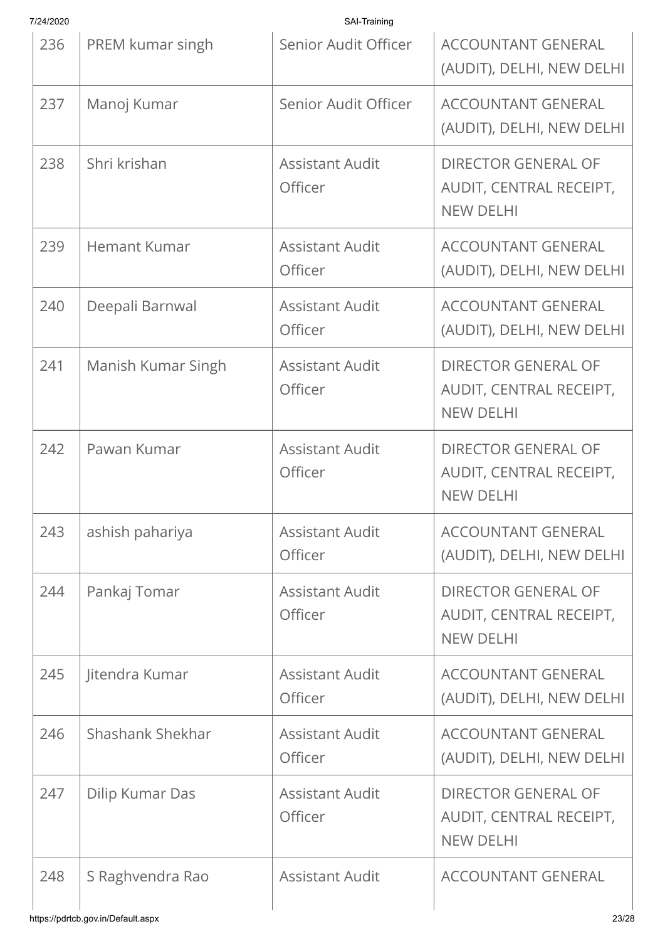| 7/24/2020 |                    | SAI-Training                      |                                                                           |
|-----------|--------------------|-----------------------------------|---------------------------------------------------------------------------|
| 236       | PREM kumar singh   | Senior Audit Officer              | <b>ACCOUNTANT GENERAL</b><br>(AUDIT), DELHI, NEW DELHI                    |
| 237       | Manoj Kumar        | Senior Audit Officer              | <b>ACCOUNTANT GENERAL</b><br>(AUDIT), DELHI, NEW DELHI                    |
| 238       | Shri krishan       | <b>Assistant Audit</b><br>Officer | <b>DIRECTOR GENERAL OF</b><br>AUDIT, CENTRAL RECEIPT,<br><b>NEW DELHI</b> |
| 239       | Hemant Kumar       | <b>Assistant Audit</b><br>Officer | <b>ACCOUNTANT GENERAL</b><br>(AUDIT), DELHI, NEW DELHI                    |
| 240       | Deepali Barnwal    | <b>Assistant Audit</b><br>Officer | <b>ACCOUNTANT GENERAL</b><br>(AUDIT), DELHI, NEW DELHI                    |
| 241       | Manish Kumar Singh | <b>Assistant Audit</b><br>Officer | <b>DIRECTOR GENERAL OF</b><br>AUDIT, CENTRAL RECEIPT,<br><b>NEW DELHI</b> |
| 242       | Pawan Kumar        | <b>Assistant Audit</b><br>Officer | <b>DIRECTOR GENERAL OF</b><br>AUDIT, CENTRAL RECEIPT,<br><b>NEW DELHI</b> |
| 243       | ashish pahariya    | <b>Assistant Audit</b><br>Officer | <b>ACCOUNTANT GENERAL</b><br>(AUDIT), DELHI, NEW DELHI                    |
| 244       | Pankaj Tomar       | <b>Assistant Audit</b><br>Officer | <b>DIRECTOR GENERAL OF</b><br>AUDIT, CENTRAL RECEIPT,<br><b>NEW DELHI</b> |
| 245       | Jitendra Kumar     | <b>Assistant Audit</b><br>Officer | <b>ACCOUNTANT GENERAL</b><br>(AUDIT), DELHI, NEW DELHI                    |
| 246       | Shashank Shekhar   | <b>Assistant Audit</b><br>Officer | <b>ACCOUNTANT GENERAL</b><br>(AUDIT), DELHI, NEW DELHI                    |
| 247       | Dilip Kumar Das    | <b>Assistant Audit</b><br>Officer | <b>DIRECTOR GENERAL OF</b><br>AUDIT, CENTRAL RECEIPT,<br><b>NEW DELHI</b> |
| 248       | S Raghvendra Rao   | <b>Assistant Audit</b>            | <b>ACCOUNTANT GENERAL</b>                                                 |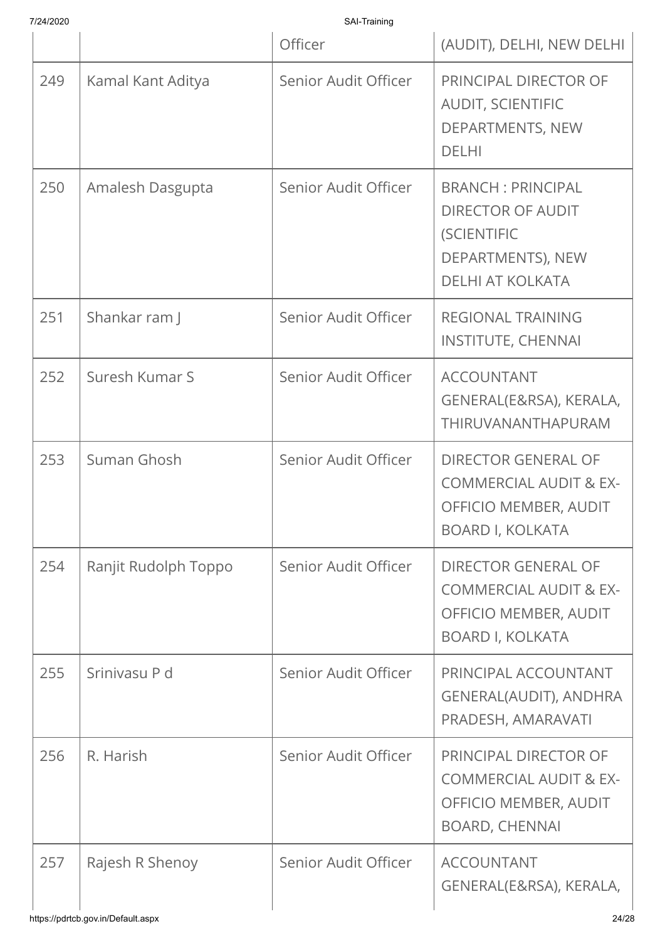| 7/24/2020 |                      | SAI-Training         |                                                                                                                            |
|-----------|----------------------|----------------------|----------------------------------------------------------------------------------------------------------------------------|
|           |                      | Officer              | (AUDIT), DELHI, NEW DELHI                                                                                                  |
| 249       | Kamal Kant Aditya    | Senior Audit Officer | PRINCIPAL DIRECTOR OF<br><b>AUDIT, SCIENTIFIC</b><br>DEPARTMENTS, NEW<br><b>DELHI</b>                                      |
| 250       | Amalesh Dasgupta     | Senior Audit Officer | <b>BRANCH: PRINCIPAL</b><br><b>DIRECTOR OF AUDIT</b><br><b>(SCIENTIFIC</b><br>DEPARTMENTS), NEW<br><b>DELHI AT KOLKATA</b> |
| 251       | Shankar ram J        | Senior Audit Officer | <b>REGIONAL TRAINING</b><br><b>INSTITUTE, CHENNAI</b>                                                                      |
| 252       | Suresh Kumar S       | Senior Audit Officer | <b>ACCOUNTANT</b><br>GENERAL(E&RSA), KERALA,<br>THIRUVANANTHAPURAM                                                         |
| 253       | Suman Ghosh          | Senior Audit Officer | <b>DIRECTOR GENERAL OF</b><br><b>COMMERCIAL AUDIT &amp; EX-</b><br><b>OFFICIO MEMBER, AUDIT</b><br><b>BOARD I, KOLKATA</b> |
| 254       | Ranjit Rudolph Toppo | Senior Audit Officer | <b>DIRECTOR GENERAL OF</b><br><b>COMMERCIAL AUDIT &amp; EX-</b><br>OFFICIO MEMBER, AUDIT<br><b>BOARD I, KOLKATA</b>        |
| 255       | Srinivasu P d        | Senior Audit Officer | PRINCIPAL ACCOUNTANT<br>GENERAL(AUDIT), ANDHRA<br>PRADESH, AMARAVATI                                                       |
| 256       | R. Harish            | Senior Audit Officer | PRINCIPAL DIRECTOR OF<br><b>COMMERCIAL AUDIT &amp; EX-</b><br>OFFICIO MEMBER, AUDIT<br><b>BOARD, CHENNAI</b>               |
| 257       | Rajesh R Shenoy      | Senior Audit Officer | <b>ACCOUNTANT</b><br>GENERAL(E&RSA), KERALA,                                                                               |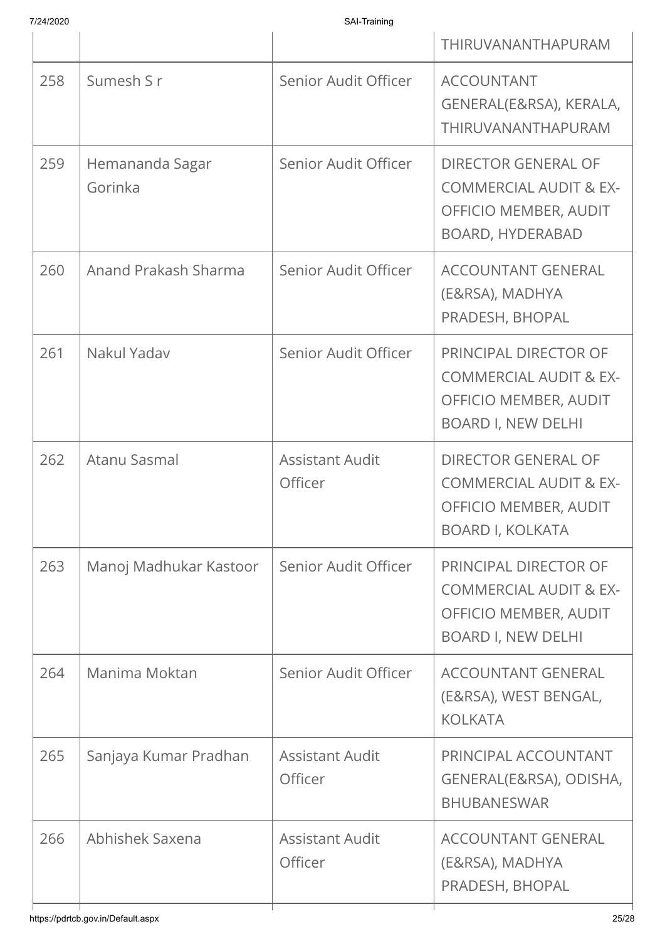| 7/24/2020 |  |
|-----------|--|

|     |                                    |                                   | THIRUVANANTHAPURAM                                                                                                  |
|-----|------------------------------------|-----------------------------------|---------------------------------------------------------------------------------------------------------------------|
| 258 | Sumesh S r                         | Senior Audit Officer              | <b>ACCOUNTANT</b><br>GENERAL(E&RSA), KERALA,<br>THIRUVANANTHAPURAM                                                  |
| 259 | Hemananda Sagar<br>Gorinka         | Senior Audit Officer              | <b>DIRECTOR GENERAL OF</b><br><b>COMMERCIAL AUDIT &amp; EX-</b><br>OFFICIO MEMBER, AUDIT<br><b>BOARD, HYDERABAD</b> |
| 260 | Anand Prakash Sharma               | Senior Audit Officer              | <b>ACCOUNTANT GENERAL</b><br>(E&RSA), MADHYA<br>PRADESH, BHOPAL                                                     |
| 261 | Nakul Yadav                        | Senior Audit Officer              | PRINCIPAL DIRECTOR OF<br><b>COMMERCIAL AUDIT &amp; EX-</b><br>OFFICIO MEMBER, AUDIT<br><b>BOARD I, NEW DELHI</b>    |
| 262 | Atanu Sasmal                       | <b>Assistant Audit</b><br>Officer | <b>DIRECTOR GENERAL OF</b><br><b>COMMERCIAL AUDIT &amp; EX-</b><br>OFFICIO MEMBER, AUDIT<br><b>BOARD I, KOLKATA</b> |
| 263 | Manoj Madhukar Kastoor             | Senior Audit Officer              | PRINCIPAL DIRECTOR OF<br><b>COMMERCIAL AUDIT &amp; EX-</b><br>OFFICIO MEMBER, AUDIT<br><b>BOARD I, NEW DELHI</b>    |
| 264 | Manima Moktan                      | Senior Audit Officer              | <b>ACCOUNTANT GENERAL</b><br>(E&RSA), WEST BENGAL,<br><b>KOLKATA</b>                                                |
| 265 | Sanjaya Kumar Pradhan              | <b>Assistant Audit</b><br>Officer | PRINCIPAL ACCOUNTANT<br>GENERAL(E&RSA), ODISHA,<br><b>BHUBANESWAR</b>                                               |
| 266 | Abhishek Saxena                    | <b>Assistant Audit</b><br>Officer | <b>ACCOUNTANT GENERAL</b><br>(E&RSA), MADHYA<br>PRADESH, BHOPAL                                                     |
|     | https://pdrtcb.gov.in/Default.aspx |                                   | 25/28                                                                                                               |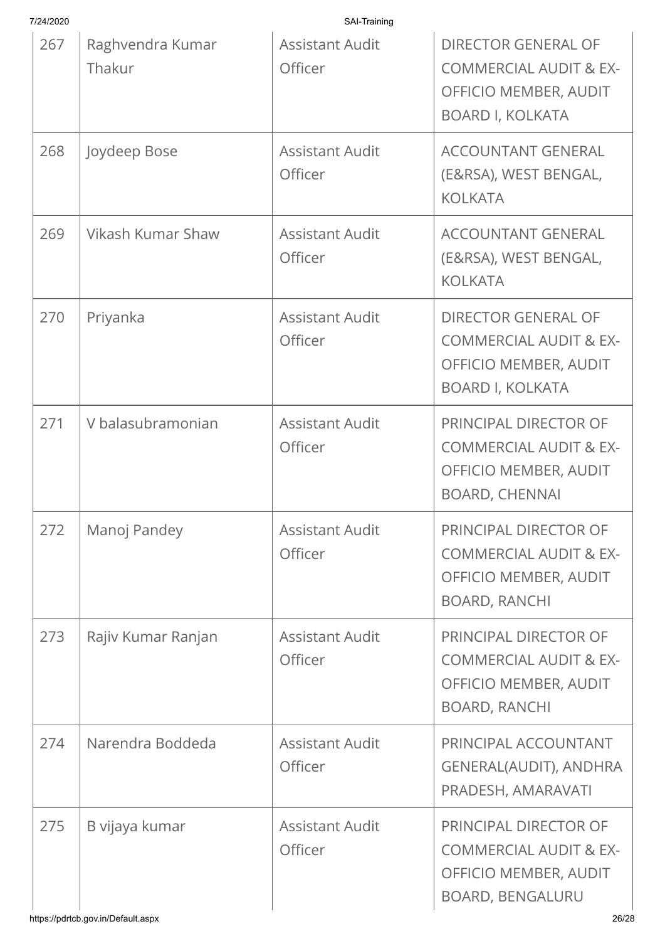| 7/24/2020 |                            | SAI-Training                      |                                                                                                                     |
|-----------|----------------------------|-----------------------------------|---------------------------------------------------------------------------------------------------------------------|
| 267       | Raghvendra Kumar<br>Thakur | <b>Assistant Audit</b><br>Officer | <b>DIRECTOR GENERAL OF</b><br><b>COMMERCIAL AUDIT &amp; EX-</b><br>OFFICIO MEMBER, AUDIT<br><b>BOARD I, KOLKATA</b> |
| 268       | Joydeep Bose               | <b>Assistant Audit</b><br>Officer | <b>ACCOUNTANT GENERAL</b><br>(E&RSA), WEST BENGAL,<br><b>KOLKATA</b>                                                |
| 269       | Vikash Kumar Shaw          | <b>Assistant Audit</b><br>Officer | <b>ACCOUNTANT GENERAL</b><br>(E&RSA), WEST BENGAL,<br><b>KOLKATA</b>                                                |
| 270       | Priyanka                   | <b>Assistant Audit</b><br>Officer | <b>DIRECTOR GENERAL OF</b><br><b>COMMERCIAL AUDIT &amp; EX-</b><br>OFFICIO MEMBER, AUDIT<br><b>BOARD I, KOLKATA</b> |
| 271       | V balasubramonian          | <b>Assistant Audit</b><br>Officer | PRINCIPAL DIRECTOR OF<br><b>COMMERCIAL AUDIT &amp; EX-</b><br><b>OFFICIO MEMBER, AUDIT</b><br><b>BOARD, CHENNAI</b> |
| 272       | Manoj Pandey               | <b>Assistant Audit</b><br>Officer | PRINCIPAL DIRECTOR OF<br><b>COMMERCIAL AUDIT &amp; EX-</b><br>OFFICIO MEMBER, AUDIT<br><b>BOARD, RANCHI</b>         |
| 273       | Rajiv Kumar Ranjan         | <b>Assistant Audit</b><br>Officer | PRINCIPAL DIRECTOR OF<br><b>COMMERCIAL AUDIT &amp; EX-</b><br>OFFICIO MEMBER, AUDIT<br><b>BOARD, RANCHI</b>         |
| 274       | Narendra Boddeda           | <b>Assistant Audit</b><br>Officer | PRINCIPAL ACCOUNTANT<br>GENERAL(AUDIT), ANDHRA<br>PRADESH, AMARAVATI                                                |
| 275       | B vijaya kumar             | <b>Assistant Audit</b><br>Officer | PRINCIPAL DIRECTOR OF<br><b>COMMERCIAL AUDIT &amp; EX-</b><br>OFFICIO MEMBER, AUDIT<br><b>BOARD, BENGALURU</b>      |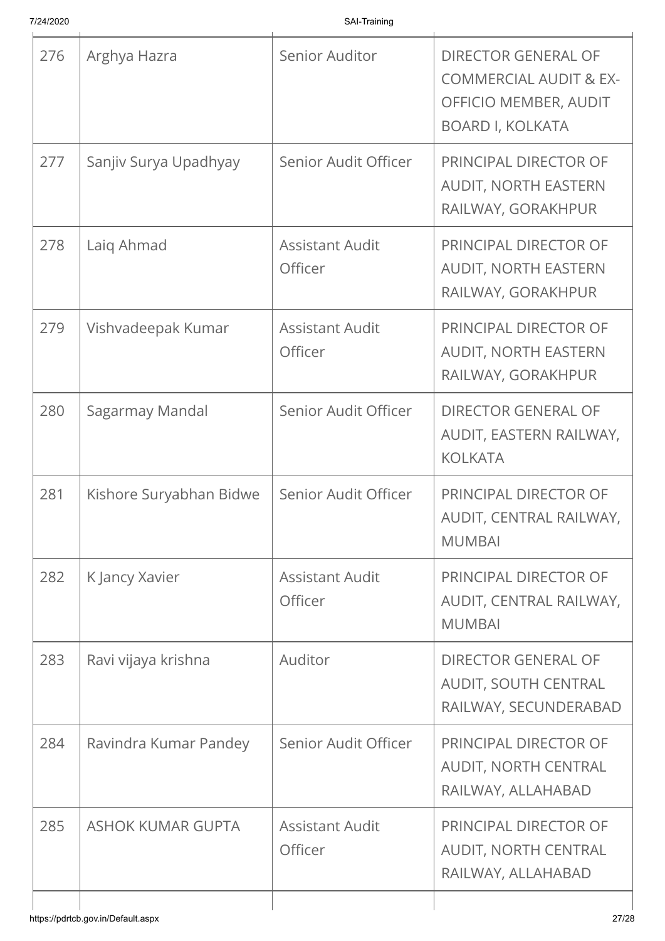| 276 | Arghya Hazra             | Senior Auditor                           | <b>DIRECTOR GENERAL OF</b>                                                            |
|-----|--------------------------|------------------------------------------|---------------------------------------------------------------------------------------|
|     |                          |                                          | <b>COMMERCIAL AUDIT &amp; EX-</b><br>OFFICIO MEMBER, AUDIT<br><b>BOARD I, KOLKATA</b> |
| 277 | Sanjiy Surya Upadhyay    | Senior Audit Officer                     | PRINCIPAL DIRECTOR OF<br><b>AUDIT, NORTH EASTERN</b><br>RAILWAY, GORAKHPUR            |
| 278 | Laig Ahmad               | <b>Assistant Audit</b><br>Officer        | PRINCIPAL DIRECTOR OF<br><b>AUDIT, NORTH EASTERN</b><br>RAILWAY, GORAKHPUR            |
| 279 | Vishvadeepak Kumar       | <b>Assistant Audit</b><br>Officer        | PRINCIPAL DIRECTOR OF<br><b>AUDIT, NORTH EASTERN</b><br>RAILWAY, GORAKHPUR            |
| 280 | Sagarmay Mandal          | Senior Audit Officer                     | <b>DIRECTOR GENERAL OF</b><br>AUDIT, EASTERN RAILWAY,<br><b>KOLKATA</b>               |
| 281 | Kishore Suryabhan Bidwe  | Senior Audit Officer                     | PRINCIPAL DIRECTOR OF<br>AUDIT, CENTRAL RAILWAY,<br><b>MUMBAI</b>                     |
| 282 | K Jancy Xavier           | <b>Assistant Audit</b><br><b>Officer</b> | PRINCIPAL DIRECTOR OF<br>AUDIT, CENTRAL RAILWAY,<br><b>MUMBAI</b>                     |
| 283 | Ravi vijaya krishna      | Auditor                                  | <b>DIRECTOR GENERAL OF</b><br>AUDIT, SOUTH CENTRAL<br>RAILWAY, SECUNDERABAD           |
| 284 | Ravindra Kumar Pandey    | Senior Audit Officer                     | PRINCIPAL DIRECTOR OF<br>AUDIT, NORTH CENTRAL<br>RAILWAY, ALLAHABAD                   |
| 285 | <b>ASHOK KUMAR GUPTA</b> | <b>Assistant Audit</b><br>Officer        | PRINCIPAL DIRECTOR OF<br><b>AUDIT, NORTH CENTRAL</b><br>RAILWAY, ALLAHABAD            |
|     |                          |                                          |                                                                                       |